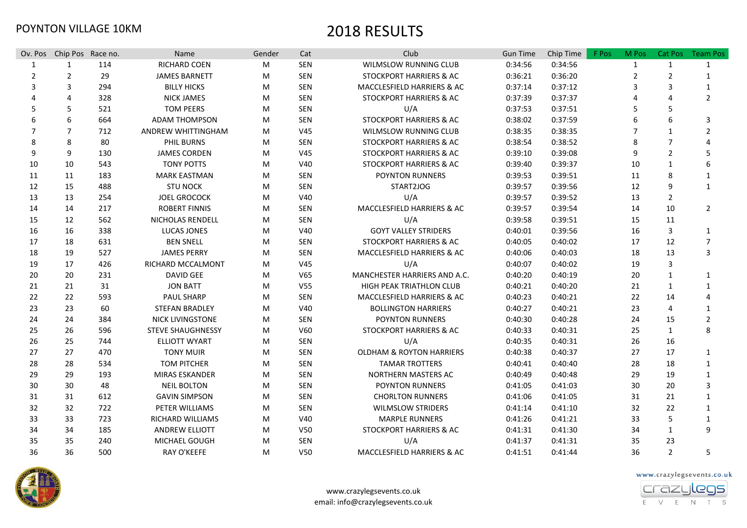| Ov. Pos               | Chip Pos Race no. |     | Name                     | Gender | Cat             | Club                                | <b>Gun Time</b> | Chip Time | F Pos | M Pos          | <b>Cat Pos</b> | <b>Team Pos</b> |
|-----------------------|-------------------|-----|--------------------------|--------|-----------------|-------------------------------------|-----------------|-----------|-------|----------------|----------------|-----------------|
| 1                     | 1                 | 114 | RICHARD COEN             | M      | SEN             | WILMSLOW RUNNING CLUB               | 0:34:56         | 0:34:56   |       | 1              | 1              | 1               |
| 2                     | $\overline{2}$    | 29  | <b>JAMES BARNETT</b>     | M      | SEN             | STOCKPORT HARRIERS & AC             | 0:36:21         | 0:36:20   |       | $\overline{2}$ | 2              | 1               |
| 3                     | 3                 | 294 | <b>BILLY HICKS</b>       | M      | SEN             | MACCLESFIELD HARRIERS & AC          | 0:37:14         | 0:37:12   |       | 3              | 3              | 1               |
| $\boldsymbol{\Delta}$ | 4                 | 328 | <b>NICK JAMES</b>        | M      | SEN             | STOCKPORT HARRIERS & AC             | 0:37:39         | 0:37:37   |       |                | 4              | $\overline{2}$  |
| .5                    | 5                 | 521 | <b>TOM PEERS</b>         | M      | SEN             | U/A                                 | 0:37:53         | 0:37:51   |       |                | 5.             |                 |
| 6                     | 6                 | 664 | <b>ADAM THOMPSON</b>     | M      | <b>SEN</b>      | STOCKPORT HARRIERS & AC             | 0:38:02         | 0:37:59   |       |                | 6              | 3               |
| 7                     | 7                 | 712 | ANDREW WHITTINGHAM       | M      | V45             | <b>WILMSLOW RUNNING CLUB</b>        | 0:38:35         | 0:38:35   |       |                | $\mathbf{1}$   | $\overline{2}$  |
| 8                     | 8                 | 80  | <b>PHIL BURNS</b>        | M      | <b>SEN</b>      | STOCKPORT HARRIERS & AC             | 0:38:54         | 0:38:52   |       | 8              | $\overline{7}$ | Δ               |
| 9                     | 9                 | 130 | <b>JAMES CORDEN</b>      | M      | V45             | STOCKPORT HARRIERS & AC             | 0:39:10         | 0:39:08   |       | 9              | $\overline{2}$ | 5               |
| 10                    | 10                | 543 | <b>TONY POTTS</b>        | M      | V40             | STOCKPORT HARRIERS & AC             | 0:39:40         | 0:39:37   |       | 10             | $\mathbf{1}$   | 6               |
| 11                    | 11                | 183 | <b>MARK EASTMAN</b>      | M      | <b>SEN</b>      | <b>POYNTON RUNNERS</b>              | 0:39:53         | 0:39:51   |       | 11             | 8              | $\mathbf{1}$    |
| 12                    | 15                | 488 | <b>STU NOCK</b>          | M      | SEN             | START2JOG                           | 0:39:57         | 0:39:56   |       | 12             | 9              | $\mathbf{1}$    |
| 13                    | 13                | 254 | <b>JOEL GROCOCK</b>      | M      | V40             | U/A                                 | 0:39:57         | 0:39:52   |       | 13             | $\overline{2}$ |                 |
| 14                    | 14                | 217 | <b>ROBERT FINNIS</b>     | M      | <b>SEN</b>      | MACCLESFIELD HARRIERS & AC          | 0:39:57         | 0:39:54   |       | 14             | 10             | $\overline{2}$  |
| 15                    | 12                | 562 | NICHOLAS RENDELL         | M      | SEN             | U/A                                 | 0:39:58         | 0:39:51   |       | 15             | 11             |                 |
| 16                    | 16                | 338 | LUCAS JONES              | M      | V40             | <b>GOYT VALLEY STRIDERS</b>         | 0:40:01         | 0:39:56   |       | 16             | 3              | 1               |
| 17                    | 18                | 631 | <b>BEN SNELL</b>         | M      | <b>SEN</b>      | <b>STOCKPORT HARRIERS &amp; AC</b>  | 0:40:05         | 0:40:02   |       | 17             | 12             | 7               |
| 18                    | 19                | 527 | <b>JAMES PERRY</b>       | M      | <b>SEN</b>      | MACCLESFIELD HARRIERS & AC          | 0:40:06         | 0:40:03   |       | 18             | 13             | 3               |
| 19                    | 17                | 426 | RICHARD MCCALMONT        | M      | V <sub>45</sub> | U/A                                 | 0:40:07         | 0:40:02   |       | 19             | 3              |                 |
| 20                    | 20                | 231 | <b>DAVID GEE</b>         | M      | V65             | MANCHESTER HARRIERS AND A.C.        | 0:40:20         | 0:40:19   |       | 20             | $\mathbf{1}$   | 1               |
| 21                    | 21                | 31  | <b>JON BATT</b>          | M      | V55             | <b>HIGH PEAK TRIATHLON CLUB</b>     | 0:40:21         | 0:40:20   |       | 21             | 1              | 1               |
| 22                    | 22                | 593 | <b>PAUL SHARP</b>        | M      | SEN             | MACCLESFIELD HARRIERS & AC          | 0:40:23         | 0:40:21   |       | 22             | 14             |                 |
| 23                    | 23                | 60  | <b>STEFAN BRADLEY</b>    | M      | V40             | <b>BOLLINGTON HARRIERS</b>          | 0:40:27         | 0:40:21   |       | 23             | 4              | 1               |
| 24                    | 24                | 384 | <b>NICK LIVINGSTONE</b>  | M      | SEN             | <b>POYNTON RUNNERS</b>              | 0:40:30         | 0:40:28   |       | 24             | 15             | $\overline{2}$  |
| 25                    | 26                | 596 | <b>STEVE SHAUGHNESSY</b> | M      | V60             | STOCKPORT HARRIERS & AC             | 0:40:33         | 0:40:31   |       | 25             | 1              | 8               |
| 26                    | 25                | 744 | <b>ELLIOTT WYART</b>     | M      | SEN             | U/A                                 | 0:40:35         | 0:40:31   |       | 26             | 16             |                 |
| 27                    | 27                | 470 | <b>TONY MUIR</b>         | M      | SEN             | <b>OLDHAM &amp; ROYTON HARRIERS</b> | 0:40:38         | 0:40:37   |       | 27             | 17             | 1               |
| 28                    | 28                | 534 | <b>TOM PITCHER</b>       | M      | SEN             | <b>TAMAR TROTTERS</b>               | 0:40:41         | 0:40:40   |       | 28             | 18             | 1               |
| 29                    | 29                | 193 | <b>MIRAS ESKANDER</b>    | M      | SEN             | NORTHERN MASTERS AC                 | 0:40:49         | 0:40:48   |       | 29             | 19             | $\mathbf{1}$    |
| 30                    | 30                | 48  | <b>NEIL BOLTON</b>       | M      | SEN             | <b>POYNTON RUNNERS</b>              | 0:41:05         | 0:41:03   |       | 30             | 20             | 3               |
| 31                    | 31                | 612 | <b>GAVIN SIMPSON</b>     | M      | SEN             | <b>CHORLTON RUNNERS</b>             | 0:41:06         | 0:41:05   |       | 31             | 21             | 1               |
| 32                    | 32                | 722 | PETER WILLIAMS           | М      | SEN             | <b>WILMSLOW STRIDERS</b>            | 0:41:14         | 0:41:10   |       | 32             | 22             | 1               |
| 33                    | 33                | 723 | <b>RICHARD WILLIAMS</b>  | M      | V40             | <b>MARPLE RUNNERS</b>               | 0:41:26         | 0:41:21   |       | 33             | 5              | 1               |
| 34                    | 34                | 185 | <b>ANDREW ELLIOTT</b>    | M      | V50             | <b>STOCKPORT HARRIERS &amp; AC</b>  | 0:41:31         | 0:41:30   |       | 34             | 1              | 9               |
| 35                    | 35                | 240 | MICHAEL GOUGH            | M      | <b>SEN</b>      | U/A                                 | 0:41:37         | 0:41:31   |       | 35             | 23             |                 |
| 36                    | 36                | 500 | <b>RAY O'KEEFE</b>       | М      | V50             | MACCLESFIELD HARRIERS & AC          | 0:41:51         | 0:41:44   |       | 36             | $\overline{2}$ | 5               |



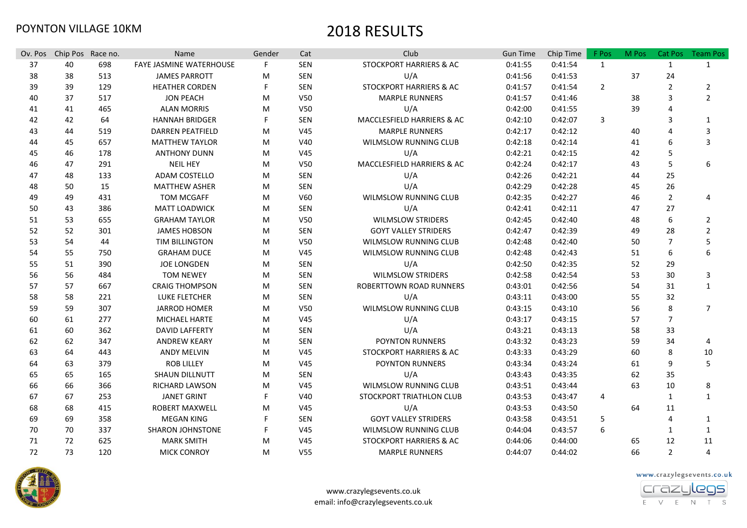| Ov. Pos | Chip Pos Race no. |     | <b>Name</b>             | Gender | Cat             | Club                               | <b>Gun Time</b> | Chip Time | F Pos          | M Pos | Cat Pos        | <b>Team Pos</b> |
|---------|-------------------|-----|-------------------------|--------|-----------------|------------------------------------|-----------------|-----------|----------------|-------|----------------|-----------------|
| 37      | 40                | 698 | FAYE JASMINE WATERHOUSE | F      | <b>SEN</b>      | STOCKPORT HARRIERS & AC            | 0:41:55         | 0:41:54   | 1              |       | $\mathbf{1}$   | $\mathbf{1}$    |
| 38      | 38                | 513 | <b>JAMES PARROTT</b>    | М      | <b>SEN</b>      | U/A                                | 0:41:56         | 0:41:53   |                | 37    | 24             |                 |
| 39      | 39                | 129 | <b>HEATHER CORDEN</b>   |        | <b>SEN</b>      | STOCKPORT HARRIERS & AC            | 0:41:57         | 0:41:54   | $\overline{2}$ |       | $\overline{2}$ | $\overline{2}$  |
| 40      | 37                | 517 | <b>JON PEACH</b>        | M      | V50             | <b>MARPLE RUNNERS</b>              | 0:41:57         | 0:41:46   |                | 38    | 3              | $\overline{2}$  |
| 41      | 41                | 465 | <b>ALAN MORRIS</b>      | M      | V <sub>50</sub> | U/A                                | 0:42:00         | 0:41:55   |                | 39    | $\overline{4}$ |                 |
| 42      | 42                | 64  | <b>HANNAH BRIDGER</b>   |        | SEN             | MACCLESFIELD HARRIERS & AC         | 0:42:10         | 0:42:07   | 3              |       | 3              | $\mathbf 1$     |
| 43      | 44                | 519 | <b>DARREN PEATFIELD</b> | М      | V45             | <b>MARPLE RUNNERS</b>              | 0:42:17         | 0:42:12   |                | 40    | $\Delta$       | 3               |
| 44      | 45                | 657 | <b>MATTHEW TAYLOR</b>   | М      | V40             | WILMSLOW RUNNING CLUB              | 0:42:18         | 0:42:14   |                | 41    | 6              | 3               |
| 45      | 46                | 178 | <b>ANTHONY DUNN</b>     | М      | V45             | U/A                                | 0:42:21         | 0:42:15   |                | 42    | 5              |                 |
| 46      | 47                | 291 | <b>NEIL HEY</b>         | М      | <b>V50</b>      | MACCLESFIELD HARRIERS & AC         | 0:42:24         | 0:42:17   |                | 43    | 5              | 6               |
| 47      | 48                | 133 | <b>ADAM COSTELLO</b>    | М      | <b>SEN</b>      | U/A                                | 0:42:26         | 0:42:21   |                | 44    | 25             |                 |
| 48      | 50                | 15  | <b>MATTHEW ASHER</b>    | M      | SEN             | U/A                                | 0:42:29         | 0:42:28   |                | 45    | 26             |                 |
| 49      | 49                | 431 | <b>TOM MCGAFF</b>       | M      | V60             | WILMSLOW RUNNING CLUB              | 0:42:35         | 0:42:27   |                | 46    | $\overline{2}$ | 4               |
| 50      | 43                | 386 | <b>MATT LOADWICK</b>    | M      | SEN             | U/A                                | 0:42:41         | 0:42:11   |                | 47    | 27             |                 |
| 51      | 53                | 655 | <b>GRAHAM TAYLOR</b>    | M      | V <sub>50</sub> | <b>WILMSLOW STRIDERS</b>           | 0:42:45         | 0:42:40   |                | 48    | 6              | 2               |
| 52      | 52                | 301 | <b>JAMES HOBSON</b>     | M      | SEN             | <b>GOYT VALLEY STRIDERS</b>        | 0:42:47         | 0:42:39   |                | 49    | 28             | 2               |
| 53      | 54                | 44  | <b>TIM BILLINGTON</b>   | M      | V50             | WILMSLOW RUNNING CLUB              | 0:42:48         | 0:42:40   |                | 50    | 7              | 5               |
| 54      | 55                | 750 | <b>GRAHAM DUCE</b>      | M      | V45             | <b>WILMSLOW RUNNING CLUB</b>       | 0:42:48         | 0:42:43   |                | 51    | 6              | 6               |
| 55      | 51                | 390 | <b>JOE LONGDEN</b>      | M      | SEN             | U/A                                | 0:42:50         | 0:42:35   |                | 52    | 29             |                 |
| 56      | 56                | 484 | <b>TOM NEWEY</b>        | M      | SEN             | <b>WILMSLOW STRIDERS</b>           | 0:42:58         | 0:42:54   |                | 53    | 30             | 3               |
| 57      | 57                | 667 | <b>CRAIG THOMPSON</b>   | M      | SEN             | ROBERTTOWN ROAD RUNNERS            | 0:43:01         | 0:42:56   |                | 54    | 31             | $\mathbf{1}$    |
| 58      | 58                | 221 | <b>LUKE FLETCHER</b>    | M      | SEN             | U/A                                | 0:43:11         | 0:43:00   |                | 55    | 32             |                 |
| 59      | 59                | 307 | <b>JARROD HOMER</b>     | M      | V <sub>50</sub> | <b>WILMSLOW RUNNING CLUB</b>       | 0:43:15         | 0:43:10   |                | 56    | 8              | $\overline{7}$  |
| 60      | 61                | 277 | MICHAEL HARTE           | M      | V45             | U/A                                | 0:43:17         | 0:43:15   |                | 57    | 7              |                 |
| 61      | 60                | 362 | <b>DAVID LAFFERTY</b>   | M      | SEN             | U/A                                | 0:43:21         | 0:43:13   |                | 58    | 33             |                 |
| 62      | 62                | 347 | <b>ANDREW KEARY</b>     | М      | SEN             | <b>POYNTON RUNNERS</b>             | 0:43:32         | 0:43:23   |                | 59    | 34             | 4               |
| 63      | 64                | 443 | <b>ANDY MELVIN</b>      | M      | V45             | <b>STOCKPORT HARRIERS &amp; AC</b> | 0:43:33         | 0:43:29   |                | 60    | 8              | 10              |
| 64      | 63                | 379 | <b>ROB LILLEY</b>       | М      | V45             | POYNTON RUNNERS                    | 0:43:34         | 0:43:24   |                | 61    | 9              | 5               |
| 65      | 65                | 165 | <b>SHAUN DILLNUTT</b>   | М      | SEN             | U/A                                | 0:43:43         | 0:43:35   |                | 62    | 35             |                 |
| 66      | 66                | 366 | <b>RICHARD LAWSON</b>   | М      | V45             | <b>WILMSLOW RUNNING CLUB</b>       | 0:43:51         | 0:43:44   |                | 63    | 10             | 8               |
| 67      | 67                | 253 | <b>JANET GRINT</b>      | F      | V40             | STOCKPORT TRIATHLON CLUB           | 0:43:53         | 0:43:47   | 4              |       | $\mathbf{1}$   | $\mathbf{1}$    |
| 68      | 68                | 415 | <b>ROBERT MAXWELL</b>   | M      | V45             | U/A                                | 0:43:53         | 0:43:50   |                | 64    | 11             |                 |
| 69      | 69                | 358 | <b>MEGAN KING</b>       |        | SEN             | <b>GOYT VALLEY STRIDERS</b>        | 0:43:58         | 0:43:51   | 5              |       | 4              | 1               |
| 70      | 70                | 337 | <b>SHARON JOHNSTONE</b> |        | V45             | WILMSLOW RUNNING CLUB              | 0:44:04         | 0:43:57   | 6              |       | $\mathbf{1}$   | $\mathbf{1}$    |
| 71      | 72                | 625 | <b>MARK SMITH</b>       | M      | V45             | STOCKPORT HARRIERS & AC            | 0:44:06         | 0:44:00   |                | 65    | 12             | 11              |
| 72      | 73                | 120 | <b>MICK CONROY</b>      | М      | V <sub>55</sub> | <b>MARPLE RUNNERS</b>              | 0:44:07         | 0:44:02   |                | 66    | $\overline{2}$ | 4               |



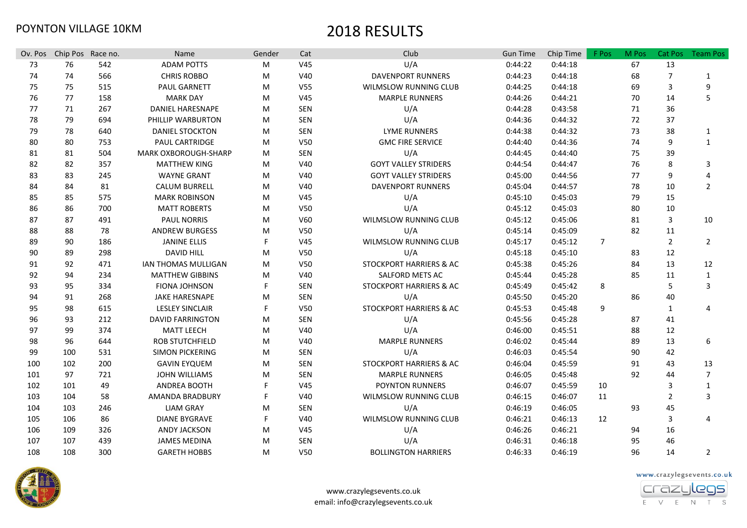| Ov. Pos | Chip Pos Race no. |     | Name                        | Gender | Cat             | Club                         | <b>Gun Time</b> | Chip Time | F Pos          | M Pos | Cat Pos        | <b>Team Pos</b>       |
|---------|-------------------|-----|-----------------------------|--------|-----------------|------------------------------|-----------------|-----------|----------------|-------|----------------|-----------------------|
| 73      | 76                | 542 | <b>ADAM POTTS</b>           | M      | V <sub>45</sub> | U/A                          | 0:44:22         | 0:44:18   |                | 67    | 13             |                       |
| 74      | 74                | 566 | <b>CHRIS ROBBO</b>          | M      | V40             | <b>DAVENPORT RUNNERS</b>     | 0:44:23         | 0:44:18   |                | 68    | $\overline{7}$ | 1                     |
| 75      | 75                | 515 | <b>PAUL GARNETT</b>         | M      | V <sub>55</sub> | WILMSLOW RUNNING CLUB        | 0:44:25         | 0:44:18   |                | 69    | 3              | 9                     |
| 76      | 77                | 158 | <b>MARK DAY</b>             | M      | V <sub>45</sub> | <b>MARPLE RUNNERS</b>        | 0:44:26         | 0:44:21   |                | 70    | 14             | 5                     |
| 77      | 71                | 267 | <b>DANIEL HARESNAPE</b>     | M      | SEN             | U/A                          | 0:44:28         | 0:43:58   |                | 71    | 36             |                       |
| 78      | 79                | 694 | PHILLIP WARBURTON           | M      | SEN             | U/A                          | 0:44:36         | 0:44:32   |                | 72    | 37             |                       |
| 79      | 78                | 640 | <b>DANIEL STOCKTON</b>      | M      | SEN             | <b>LYME RUNNERS</b>          | 0:44:38         | 0:44:32   |                | 73    | 38             | 1                     |
| 80      | 80                | 753 | <b>PAUL CARTRIDGE</b>       | M      | V50             | <b>GMC FIRE SERVICE</b>      | 0:44:40         | 0:44:36   |                | 74    | 9              | $\mathbf{1}$          |
| 81      | 81                | 504 | <b>MARK OXBOROUGH-SHARP</b> | M      | SEN             | U/A                          | 0:44:45         | 0:44:40   |                | 75    | 39             |                       |
| 82      | 82                | 357 | <b>MATTHEW KING</b>         | M      | V40             | <b>GOYT VALLEY STRIDERS</b>  | 0:44:54         | 0:44:47   |                | 76    | 8              | 3                     |
| 83      | 83                | 245 | <b>WAYNE GRANT</b>          | M      | V40             | <b>GOYT VALLEY STRIDERS</b>  | 0:45:00         | 0:44:56   |                | 77    | 9              | $\boldsymbol{\Delta}$ |
| 84      | 84                | 81  | <b>CALUM BURRELL</b>        | M      | V40             | <b>DAVENPORT RUNNERS</b>     | 0:45:04         | 0:44:57   |                | 78    | 10             | $\overline{2}$        |
| 85      | 85                | 575 | <b>MARK ROBINSON</b>        | M      | V45             | U/A                          | 0:45:10         | 0:45:03   |                | 79    | 15             |                       |
| 86      | 86                | 700 | <b>MATT ROBERTS</b>         | M      | V50             | U/A                          | 0:45:12         | 0:45:03   |                | 80    | 10             |                       |
| 87      | 87                | 491 | <b>PAUL NORRIS</b>          | M      | V60             | <b>WILMSLOW RUNNING CLUB</b> | 0:45:12         | 0:45:06   |                | 81    | 3              | 10                    |
| 88      | 88                | 78  | <b>ANDREW BURGESS</b>       | M      | V50             | U/A                          | 0:45:14         | 0:45:09   |                | 82    | 11             |                       |
| 89      | 90                | 186 | <b>JANINE ELLIS</b>         | F      | V45             | <b>WILMSLOW RUNNING CLUB</b> | 0:45:17         | 0:45:12   | $\overline{7}$ |       | $\overline{2}$ | $\overline{2}$        |
| 90      | 89                | 298 | <b>DAVID HILL</b>           | M      | V50             | U/A                          | 0:45:18         | 0:45:10   |                | 83    | 12             |                       |
| 91      | 92                | 471 | <b>IAN THOMAS MULLIGAN</b>  | M      | V50             | STOCKPORT HARRIERS & AC      | 0:45:38         | 0:45:26   |                | 84    | 13             | 12                    |
| 92      | 94                | 234 | <b>MATTHEW GIBBINS</b>      | M      | V40             | SALFORD METS AC              | 0:45:44         | 0:45:28   |                | 85    | 11             | 1                     |
| 93      | 95                | 334 | <b>FIONA JOHNSON</b>        | F      | <b>SEN</b>      | STOCKPORT HARRIERS & AC      | 0:45:49         | 0:45:42   | 8              |       | 5              | 3                     |
| 94      | 91                | 268 | <b>JAKE HARESNAPE</b>       | M      | SEN             | U/A                          | 0:45:50         | 0:45:20   |                | 86    | 40             |                       |
| 95      | 98                | 615 | <b>LESLEY SINCLAIR</b>      | F      | V50             | STOCKPORT HARRIERS & AC      | 0:45:53         | 0:45:48   | 9              |       | 1              | 4                     |
| 96      | 93                | 212 | <b>DAVID FARRINGTON</b>     | M      | SEN             | U/A                          | 0:45:56         | 0:45:28   |                | 87    | 41             |                       |
| 97      | 99                | 374 | <b>MATT LEECH</b>           | M      | V40             | U/A                          | 0:46:00         | 0:45:51   |                | 88    | 12             |                       |
| 98      | 96                | 644 | <b>ROB STUTCHFIELD</b>      | M      | V40             | <b>MARPLE RUNNERS</b>        | 0:46:02         | 0:45:44   |                | 89    | 13             | 6                     |
| 99      | 100               | 531 | <b>SIMON PICKERING</b>      | M      | SEN             | U/A                          | 0:46:03         | 0:45:54   |                | 90    | 42             |                       |
| 100     | 102               | 200 | <b>GAVIN EYQUEM</b>         | M      | <b>SEN</b>      | STOCKPORT HARRIERS & AC      | 0:46:04         | 0:45:59   |                | 91    | 43             | 13                    |
| 101     | 97                | 721 | <b>JOHN WILLIAMS</b>        | M      | <b>SEN</b>      | <b>MARPLE RUNNERS</b>        | 0:46:05         | 0:45:48   |                | 92    | 44             | 7                     |
| 102     | 101               | 49  | <b>ANDREA BOOTH</b>         | F      | V45             | <b>POYNTON RUNNERS</b>       | 0:46:07         | 0:45:59   | 10             |       | 3              | 1                     |
| 103     | 104               | 58  | AMANDA BRADBURY             | F      | V40             | WILMSLOW RUNNING CLUB        | 0:46:15         | 0:46:07   | 11             |       | 2              | 3                     |
| 104     | 103               | 246 | <b>LIAM GRAY</b>            | M      | SEN             | U/A                          | 0:46:19         | 0:46:05   |                | 93    | 45             |                       |
| 105     | 106               | 86  | <b>DIANE BYGRAVE</b>        | F      | V40             | WILMSLOW RUNNING CLUB        | 0:46:21         | 0:46:13   | 12             |       | 3              | $\overline{4}$        |
| 106     | 109               | 326 | <b>ANDY JACKSON</b>         | M      | V <sub>45</sub> | U/A                          | 0:46:26         | 0:46:21   |                | 94    | 16             |                       |
| 107     | 107               | 439 | <b>JAMES MEDINA</b>         | M      | SEN             | U/A                          | 0:46:31         | 0:46:18   |                | 95    | 46             |                       |
| 108     | 108               | 300 | <b>GARETH HOBBS</b>         | M      | V50             | <b>BOLLINGTON HARRIERS</b>   | 0:46:33         | 0:46:19   |                | 96    | 14             | $\overline{2}$        |



www.crazylegsevents.co.uk email: info@crazylegsevents.co.uk www.crazylegsevents.co.uk

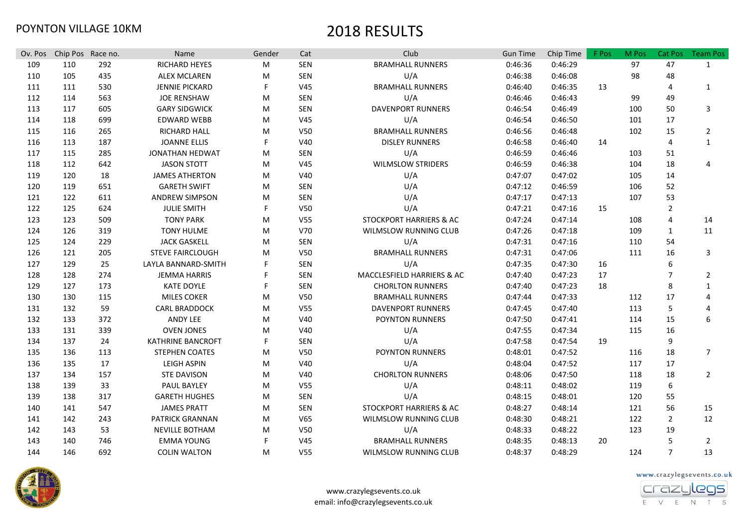| Ov. Pos | Chip Pos Race no. |     | Name                     | Gender | Cat             | Club                         | <b>Gun Time</b> | Chip Time | F Pos | M Pos | Cat Pos        | <b>Team Pos</b> |
|---------|-------------------|-----|--------------------------|--------|-----------------|------------------------------|-----------------|-----------|-------|-------|----------------|-----------------|
| 109     | 110               | 292 | RICHARD HEYES            | M      | SEN             | <b>BRAMHALL RUNNERS</b>      | 0:46:36         | 0:46:29   |       | 97    | 47             | $\mathbf{1}$    |
| 110     | 105               | 435 | <b>ALEX MCLAREN</b>      | M      | <b>SEN</b>      | U/A                          | 0:46:38         | 0:46:08   |       | 98    | 48             |                 |
| 111     | 111               | 530 | <b>JENNIE PICKARD</b>    | F.     | V45             | <b>BRAMHALL RUNNERS</b>      | 0:46:40         | 0:46:35   | 13    |       | 4              | $\mathbf{1}$    |
| 112     | 114               | 563 | <b>JOE RENSHAW</b>       | M      | SEN             | U/A                          | 0:46:46         | 0:46:43   |       | 99    | 49             |                 |
| 113     | 117               | 605 | <b>GARY SIDGWICK</b>     | M      | <b>SEN</b>      | <b>DAVENPORT RUNNERS</b>     | 0:46:54         | 0:46:49   |       | 100   | 50             | 3               |
| 114     | 118               | 699 | <b>EDWARD WEBB</b>       | M      | V45             | U/A                          | 0:46:54         | 0:46:50   |       | 101   | 17             |                 |
| 115     | 116               | 265 | <b>RICHARD HALL</b>      | M      | V50             | <b>BRAMHALL RUNNERS</b>      | 0:46:56         | 0:46:48   |       | 102   | 15             | $\overline{2}$  |
| 116     | 113               | 187 | <b>JOANNE ELLIS</b>      | F      | V40             | <b>DISLEY RUNNERS</b>        | 0:46:58         | 0:46:40   | 14    |       | 4              | $\mathbf{1}$    |
| 117     | 115               | 285 | <b>JONATHAN HEDWAT</b>   | M      | <b>SEN</b>      | U/A                          | 0:46:59         | 0:46:46   |       | 103   | 51             |                 |
| 118     | 112               | 642 | <b>JASON STOTT</b>       | M      | V45             | <b>WILMSLOW STRIDERS</b>     | 0:46:59         | 0:46:38   |       | 104   | 18             | 4               |
| 119     | 120               | 18  | <b>JAMES ATHERTON</b>    | M      | V40             | U/A                          | 0:47:07         | 0:47:02   |       | 105   | 14             |                 |
| 120     | 119               | 651 | <b>GARETH SWIFT</b>      | М      | <b>SEN</b>      | U/A                          | 0:47:12         | 0:46:59   |       | 106   | 52             |                 |
| 121     | 122               | 611 | <b>ANDREW SIMPSON</b>    | M      | <b>SEN</b>      | U/A                          | 0:47:17         | 0:47:13   |       | 107   | 53             |                 |
| 122     | 125               | 624 | <b>JULIE SMITH</b>       | F.     | V50             | U/A                          | 0:47:21         | 0:47:16   | 15    |       | $\overline{2}$ |                 |
| 123     | 123               | 509 | <b>TONY PARK</b>         | M      | V <sub>55</sub> | STOCKPORT HARRIERS & AC      | 0:47:24         | 0:47:14   |       | 108   | 4              | 14              |
| 124     | 126               | 319 | <b>TONY HULME</b>        | M      | V70             | WILMSLOW RUNNING CLUB        | 0:47:26         | 0:47:18   |       | 109   | $\mathbf{1}$   | 11              |
| 125     | 124               | 229 | <b>JACK GASKELL</b>      | M      | SEN             | U/A                          | 0:47:31         | 0:47:16   |       | 110   | 54             |                 |
| 126     | 121               | 205 | <b>STEVE FAIRCLOUGH</b>  | M      | V <sub>50</sub> | <b>BRAMHALL RUNNERS</b>      | 0:47:31         | 0:47:06   |       | 111   | 16             | 3               |
| 127     | 129               | 25  | LAYLA BANNARD-SMITH      |        | SEN             | U/A                          | 0:47:35         | 0:47:30   | 16    |       | 6              |                 |
| 128     | 128               | 274 | <b>JEMMA HARRIS</b>      |        | SEN             | MACCLESFIELD HARRIERS & AC   | 0:47:40         | 0:47:23   | 17    |       | $\overline{7}$ | $\overline{2}$  |
| 129     | 127               | 173 | <b>KATE DOYLE</b>        |        | SEN             | <b>CHORLTON RUNNERS</b>      | 0:47:40         | 0:47:23   | 18    |       | 8              | $\mathbf{1}$    |
| 130     | 130               | 115 | <b>MILES COKER</b>       | M      | V50             | <b>BRAMHALL RUNNERS</b>      | 0:47:44         | 0:47:33   |       | 112   | 17             | 4               |
| 131     | 132               | 59  | <b>CARL BRADDOCK</b>     | M      | V <sub>55</sub> | <b>DAVENPORT RUNNERS</b>     | 0:47:45         | 0:47:40   |       | 113   | 5              | 4               |
| 132     | 133               | 372 | ANDY LEE                 | M      | V40             | <b>POYNTON RUNNERS</b>       | 0:47:50         | 0:47:41   |       | 114   | 15             | 6               |
| 133     | 131               | 339 | <b>OVEN JONES</b>        | M      | V40             | U/A                          | 0:47:55         | 0:47:34   |       | 115   | 16             |                 |
| 134     | 137               | 24  | <b>KATHRINE BANCROFT</b> | F      | <b>SEN</b>      | U/A                          | 0:47:58         | 0:47:54   | 19    |       | 9              |                 |
| 135     | 136               | 113 | <b>STEPHEN COATES</b>    | M      | <b>V50</b>      | <b>POYNTON RUNNERS</b>       | 0:48:01         | 0:47:52   |       | 116   | 18             | $\overline{7}$  |
| 136     | 135               | 17  | LEIGH ASPIN              | M      | V40             | U/A                          | 0:48:04         | 0:47:52   |       | 117   | 17             |                 |
| 137     | 134               | 157 | <b>STE DAVISON</b>       | M      | V40             | <b>CHORLTON RUNNERS</b>      | 0:48:06         | 0:47:50   |       | 118   | 18             | $\overline{2}$  |
| 138     | 139               | 33  | PAUL BAYLEY              | M      | V55             | U/A                          | 0:48:11         | 0:48:02   |       | 119   | 6              |                 |
| 139     | 138               | 317 | <b>GARETH HUGHES</b>     | M      | SEN             | U/A                          | 0:48:15         | 0:48:01   |       | 120   | 55             |                 |
| 140     | 141               | 547 | <b>JAMES PRATT</b>       | M      | SEN             | STOCKPORT HARRIERS & AC      | 0:48:27         | 0:48:14   |       | 121   | 56             | 15              |
| 141     | 142               | 243 | PATRICK GRANNAN          | M      | V65             | WILMSLOW RUNNING CLUB        | 0:48:30         | 0:48:21   |       | 122   | 2              | 12              |
| 142     | 143               | 53  | <b>NEVILLE BOTHAM</b>    | M      | V <sub>50</sub> | U/A                          | 0:48:33         | 0:48:22   |       | 123   | 19             |                 |
| 143     | 140               | 746 | <b>EMMA YOUNG</b>        | F      | V45             | <b>BRAMHALL RUNNERS</b>      | 0:48:35         | 0:48:13   | 20    |       | 5              | $\overline{2}$  |
| 144     | 146               | 692 | <b>COLIN WALTON</b>      | M      | <b>V55</b>      | <b>WILMSLOW RUNNING CLUB</b> | 0:48:37         | 0:48:29   |       | 124   | $\overline{7}$ | 13              |





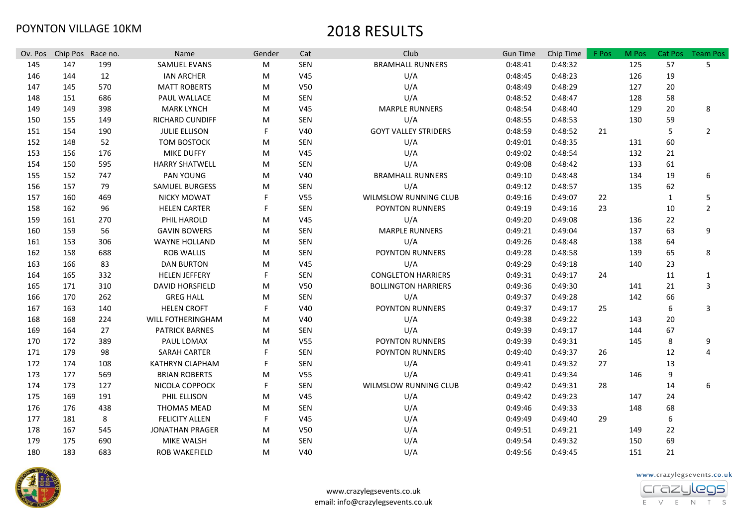| Ov. Pos | Chip Pos Race no. |     | Name                   | Gender | Cat             | Club                        | <b>Gun Time</b> | Chip Time | F Pos | M Pos | Cat Pos          | <b>Team Pos</b> |
|---------|-------------------|-----|------------------------|--------|-----------------|-----------------------------|-----------------|-----------|-------|-------|------------------|-----------------|
| 145     | 147               | 199 | SAMUEL EVANS           | M      | SEN             | <b>BRAMHALL RUNNERS</b>     | 0:48:41         | 0:48:32   |       | 125   | 57               | 5               |
| 146     | 144               | 12  | <b>IAN ARCHER</b>      | M      | V45             | U/A                         | 0:48:45         | 0:48:23   |       | 126   | 19               |                 |
| 147     | 145               | 570 | <b>MATT ROBERTS</b>    | M      | V <sub>50</sub> | U/A                         | 0:48:49         | 0:48:29   |       | 127   | 20               |                 |
| 148     | 151               | 686 | PAUL WALLACE           | M      | <b>SEN</b>      | U/A                         | 0:48:52         | 0:48:47   |       | 128   | 58               |                 |
| 149     | 149               | 398 | <b>MARK LYNCH</b>      | M      | V45             | <b>MARPLE RUNNERS</b>       | 0:48:54         | 0:48:40   |       | 129   | 20               | 8               |
| 150     | 155               | 149 | RICHARD CUNDIFF        | M      | SEN             | U/A                         | 0:48:55         | 0:48:53   |       | 130   | 59               |                 |
| 151     | 154               | 190 | <b>JULIE ELLISON</b>   | F      | V40             | <b>GOYT VALLEY STRIDERS</b> | 0:48:59         | 0:48:52   | 21    |       | 5                | $\overline{2}$  |
| 152     | 148               | 52  | <b>TOM BOSTOCK</b>     | M      | <b>SEN</b>      | U/A                         | 0:49:01         | 0:48:35   |       | 131   | 60               |                 |
| 153     | 156               | 176 | <b>MIKE DUFFY</b>      | M      | V45             | U/A                         | 0:49:02         | 0:48:54   |       | 132   | 21               |                 |
| 154     | 150               | 595 | <b>HARRY SHATWELL</b>  | M      | SEN             | U/A                         | 0:49:08         | 0:48:42   |       | 133   | 61               |                 |
| 155     | 152               | 747 | PAN YOUNG              | M      | V40             | <b>BRAMHALL RUNNERS</b>     | 0:49:10         | 0:48:48   |       | 134   | 19               | 6               |
| 156     | 157               | 79  | SAMUEL BURGESS         | м      | SEN             | U/A                         | 0:49:12         | 0:48:57   |       | 135   | 62               |                 |
| 157     | 160               | 469 | <b>NICKY MOWAT</b>     |        | <b>V55</b>      | WILMSLOW RUNNING CLUB       | 0:49:16         | 0:49:07   | 22    |       | 1                | 5               |
| 158     | 162               | 96  | <b>HELEN CARTER</b>    | F      | <b>SEN</b>      | POYNTON RUNNERS             | 0:49:19         | 0:49:16   | 23    |       | 10               | $\overline{2}$  |
| 159     | 161               | 270 | PHIL HAROLD            | M      | V45             | U/A                         | 0:49:20         | 0:49:08   |       | 136   | 22               |                 |
| 160     | 159               | 56  | <b>GAVIN BOWERS</b>    | M      | <b>SEN</b>      | <b>MARPLE RUNNERS</b>       | 0:49:21         | 0:49:04   |       | 137   | 63               | 9               |
| 161     | 153               | 306 | <b>WAYNE HOLLAND</b>   | M      | <b>SEN</b>      | U/A                         | 0:49:26         | 0:48:48   |       | 138   | 64               |                 |
| 162     | 158               | 688 | <b>ROB WALLIS</b>      | M      | <b>SEN</b>      | <b>POYNTON RUNNERS</b>      | 0:49:28         | 0:48:58   |       | 139   | 65               | 8               |
| 163     | 166               | 83  | <b>DAN BURTON</b>      | M      | V45             | U/A                         | 0:49:29         | 0:49:18   |       | 140   | 23               |                 |
| 164     | 165               | 332 | <b>HELEN JEFFERY</b>   | F      | <b>SEN</b>      | <b>CONGLETON HARRIERS</b>   | 0:49:31         | 0:49:17   | 24    |       | 11               | 1               |
| 165     | 171               | 310 | <b>DAVID HORSFIELD</b> | M      | V <sub>50</sub> | <b>BOLLINGTON HARRIERS</b>  | 0:49:36         | 0:49:30   |       | 141   | 21               | 3               |
| 166     | 170               | 262 | <b>GREG HALL</b>       | M      | SEN             | U/A                         | 0:49:37         | 0:49:28   |       | 142   | 66               |                 |
| 167     | 163               | 140 | <b>HELEN CROFT</b>     | F      | V40             | POYNTON RUNNERS             | 0:49:37         | 0:49:17   | 25    |       | 6                | 3               |
| 168     | 168               | 224 | WILL FOTHERINGHAM      | M      | V40             | U/A                         | 0:49:38         | 0:49:22   |       | 143   | 20               |                 |
| 169     | 164               | 27  | <b>PATRICK BARNES</b>  | M      | SEN             | U/A                         | 0:49:39         | 0:49:17   |       | 144   | 67               |                 |
| 170     | 172               | 389 | PAUL LOMAX             | M      | V <sub>55</sub> | POYNTON RUNNERS             | 0:49:39         | 0:49:31   |       | 145   | 8                | 9               |
| 171     | 179               | 98  | SARAH CARTER           | F      | SEN             | POYNTON RUNNERS             | 0:49:40         | 0:49:37   | 26    |       | 12               | 4               |
| 172     | 174               | 108 | KATHRYN CLAPHAM        | F      | SEN             | U/A                         | 0:49:41         | 0:49:32   | 27    |       | 13               |                 |
| 173     | 177               | 569 | <b>BRIAN ROBERTS</b>   | M      | V <sub>55</sub> | U/A                         | 0:49:41         | 0:49:34   |       | 146   | 9                |                 |
| 174     | 173               | 127 | NICOLA COPPOCK         | F      | SEN             | WILMSLOW RUNNING CLUB       | 0:49:42         | 0:49:31   | 28    |       | 14               | 6               |
| 175     | 169               | 191 | PHIL ELLISON           | M      | V45             | U/A                         | 0:49:42         | 0:49:23   |       | 147   | 24               |                 |
| 176     | 176               | 438 | <b>THOMAS MEAD</b>     | M      | SEN             | U/A                         | 0:49:46         | 0:49:33   |       | 148   | 68               |                 |
| 177     | 181               | 8   | <b>FELICITY ALLEN</b>  | F      | V45             | U/A                         | 0:49:49         | 0:49:40   | 29    |       | $\boldsymbol{6}$ |                 |
| 178     | 167               | 545 | <b>JONATHAN PRAGER</b> | м      | <b>V50</b>      | U/A                         | 0:49:51         | 0:49:21   |       | 149   | 22               |                 |
| 179     | 175               | 690 | <b>MIKE WALSH</b>      | м      | <b>SEN</b>      | U/A                         | 0:49:54         | 0:49:32   |       | 150   | 69               |                 |
| 180     | 183               | 683 | <b>ROB WAKEFIELD</b>   | M      | V40             | U/A                         | 0:49:56         | 0:49:45   |       | 151   | 21               |                 |



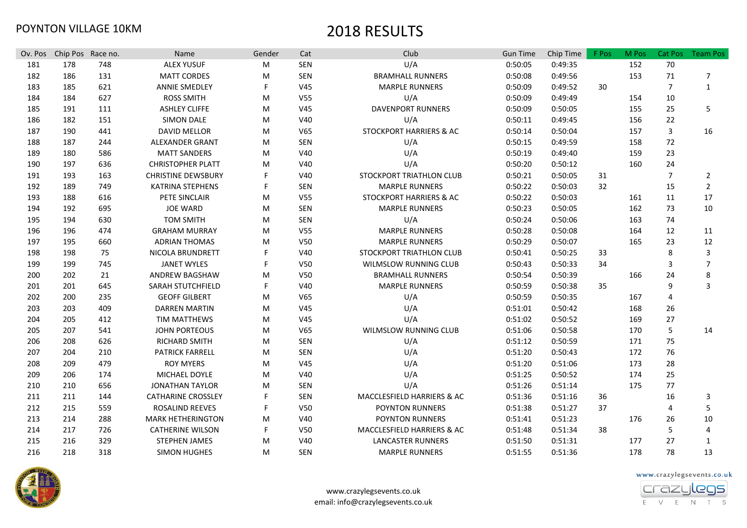| Ov. Pos | Chip Pos Race no. |     | Name                      | Gender | Cat             | Club                         | <b>Gun Time</b> | Chip Time | F Pos | M Pos | <b>Cat Pos</b> | <b>Team Pos</b> |
|---------|-------------------|-----|---------------------------|--------|-----------------|------------------------------|-----------------|-----------|-------|-------|----------------|-----------------|
| 181     | 178               | 748 | <b>ALEX YUSUF</b>         | M      | SEN             | U/A                          | 0:50:05         | 0:49:35   |       | 152   | 70             |                 |
| 182     | 186               | 131 | <b>MATT CORDES</b>        | м      | SEN             | <b>BRAMHALL RUNNERS</b>      | 0:50:08         | 0:49:56   |       | 153   | 71             | 7               |
| 183     | 185               | 621 | <b>ANNIE SMEDLEY</b>      | F      | V <sub>45</sub> | <b>MARPLE RUNNERS</b>        | 0:50:09         | 0:49:52   | 30    |       | $\overline{7}$ | $\mathbf{1}$    |
| 184     | 184               | 627 | <b>ROSS SMITH</b>         | M      | V <sub>55</sub> | U/A                          | 0:50:09         | 0:49:49   |       | 154   | 10             |                 |
| 185     | 191               | 111 | <b>ASHLEY CLIFFE</b>      | M      | V <sub>45</sub> | <b>DAVENPORT RUNNERS</b>     | 0:50:09         | 0:50:05   |       | 155   | 25             | 5               |
| 186     | 182               | 151 | <b>SIMON DALE</b>         | M      | V40             | U/A                          | 0:50:11         | 0:49:45   |       | 156   | 22             |                 |
| 187     | 190               | 441 | <b>DAVID MELLOR</b>       | M      | V <sub>65</sub> | STOCKPORT HARRIERS & AC      | 0:50:14         | 0:50:04   |       | 157   | 3              | 16              |
| 188     | 187               | 244 | ALEXANDER GRANT           | M      | SEN             | U/A                          | 0:50:15         | 0:49:59   |       | 158   | 72             |                 |
| 189     | 180               | 586 | <b>MATT SANDERS</b>       | M      | V40             | U/A                          | 0:50:19         | 0:49:40   |       | 159   | 23             |                 |
| 190     | 197               | 636 | <b>CHRISTOPHER PLATT</b>  | M      | V40             | U/A                          | 0:50:20         | 0:50:12   |       | 160   | 24             |                 |
| 191     | 193               | 163 | <b>CHRISTINE DEWSBURY</b> | F      | V40             | STOCKPORT TRIATHLON CLUB     | 0:50:21         | 0:50:05   | 31    |       | $\overline{7}$ | $\overline{2}$  |
| 192     | 189               | 749 | <b>KATRINA STEPHENS</b>   | F      | SEN             | <b>MARPLE RUNNERS</b>        | 0:50:22         | 0:50:03   | 32    |       | 15             | $\overline{2}$  |
| 193     | 188               | 616 | PETE SINCLAIR             | M      | V <sub>55</sub> | STOCKPORT HARRIERS & AC      | 0:50:22         | 0:50:03   |       | 161   | 11             | 17              |
| 194     | 192               | 695 | <b>JOE WARD</b>           | M      | SEN             | <b>MARPLE RUNNERS</b>        | 0:50:23         | 0:50:05   |       | 162   | 73             | 10              |
| 195     | 194               | 630 | <b>TOM SMITH</b>          | M      | SEN             | U/A                          | 0:50:24         | 0:50:06   |       | 163   | 74             |                 |
| 196     | 196               | 474 | <b>GRAHAM MURRAY</b>      | M      | V <sub>55</sub> | <b>MARPLE RUNNERS</b>        | 0:50:28         | 0:50:08   |       | 164   | 12             | 11              |
| 197     | 195               | 660 | <b>ADRIAN THOMAS</b>      | M      | V <sub>50</sub> | <b>MARPLE RUNNERS</b>        | 0:50:29         | 0:50:07   |       | 165   | 23             | 12              |
| 198     | 198               | 75  | NICOLA BRUNDRETT          |        | V40             | STOCKPORT TRIATHLON CLUB     | 0:50:41         | 0:50:25   | 33    |       | 8              | 3               |
| 199     | 199               | 745 | <b>JANET WYLES</b>        | F      | V50             | WILMSLOW RUNNING CLUB        | 0:50:43         | 0:50:33   | 34    |       | 3              | $\overline{7}$  |
| 200     | 202               | 21  | <b>ANDREW BAGSHAW</b>     | M      | V50             | <b>BRAMHALL RUNNERS</b>      | 0:50:54         | 0:50:39   |       | 166   | 24             | 8               |
| 201     | 201               | 645 | SARAH STUTCHFIELD         | F      | V40             | <b>MARPLE RUNNERS</b>        | 0:50:59         | 0:50:38   | 35    |       | 9              | 3               |
| 202     | 200               | 235 | <b>GEOFF GILBERT</b>      | M      | V <sub>65</sub> | U/A                          | 0:50:59         | 0:50:35   |       | 167   | 4              |                 |
| 203     | 203               | 409 | <b>DARREN MARTIN</b>      | M      | V <sub>45</sub> | U/A                          | 0:51:01         | 0:50:42   |       | 168   | 26             |                 |
| 204     | 205               | 412 | <b>TIM MATTHEWS</b>       | M      | V <sub>45</sub> | U/A                          | 0:51:02         | 0:50:52   |       | 169   | 27             |                 |
| 205     | 207               | 541 | <b>JOHN PORTEOUS</b>      | M      | V <sub>65</sub> | <b>WILMSLOW RUNNING CLUB</b> | 0:51:06         | 0:50:58   |       | 170   | 5              | 14              |
| 206     | 208               | 626 | RICHARD SMITH             | M      | SEN             | U/A                          | 0:51:12         | 0:50:59   |       | 171   | 75             |                 |
| 207     | 204               | 210 | <b>PATRICK FARRELL</b>    | M      | SEN             | U/A                          | 0:51:20         | 0:50:43   |       | 172   | 76             |                 |
| 208     | 209               | 479 | <b>ROY MYERS</b>          | M      | V <sub>45</sub> | U/A                          | 0:51:20         | 0:51:06   |       | 173   | 28             |                 |
| 209     | 206               | 174 | MICHAEL DOYLE             | M      | V40             | U/A                          | 0:51:25         | 0:50:52   |       | 174   | 25             |                 |
| 210     | 210               | 656 | <b>JONATHAN TAYLOR</b>    | м      | SEN             | U/A                          | 0:51:26         | 0:51:14   |       | 175   | 77             |                 |
| 211     | 211               | 144 | <b>CATHARINE CROSSLEY</b> | F      | SEN             | MACCLESFIELD HARRIERS & AC   | 0:51:36         | 0:51:16   | 36    |       | 16             | 3               |
| 212     | 215               | 559 | ROSALIND REEVES           | F      | V50             | POYNTON RUNNERS              | 0:51:38         | 0:51:27   | 37    |       | 4              | 5               |
| 213     | 214               | 288 | <b>MARK HETHERINGTON</b>  | м      | V40             | <b>POYNTON RUNNERS</b>       | 0:51:41         | 0:51:23   |       | 176   | 26             | 10              |
| 214     | 217               | 726 | <b>CATHERINE WILSON</b>   | F      | V50             | MACCLESFIELD HARRIERS & AC   | 0:51:48         | 0:51:34   | 38    |       | 5              | 4               |
| 215     | 216               | 329 | <b>STEPHEN JAMES</b>      | м      | V40             | <b>LANCASTER RUNNERS</b>     | 0:51:50         | 0:51:31   |       | 177   | 27             | $\mathbf 1$     |
| 216     | 218               | 318 | <b>SIMON HUGHES</b>       | M      | <b>SEN</b>      | <b>MARPLE RUNNERS</b>        | 0:51:55         | 0:51:36   |       | 178   | 78             | 13              |





E V E N T S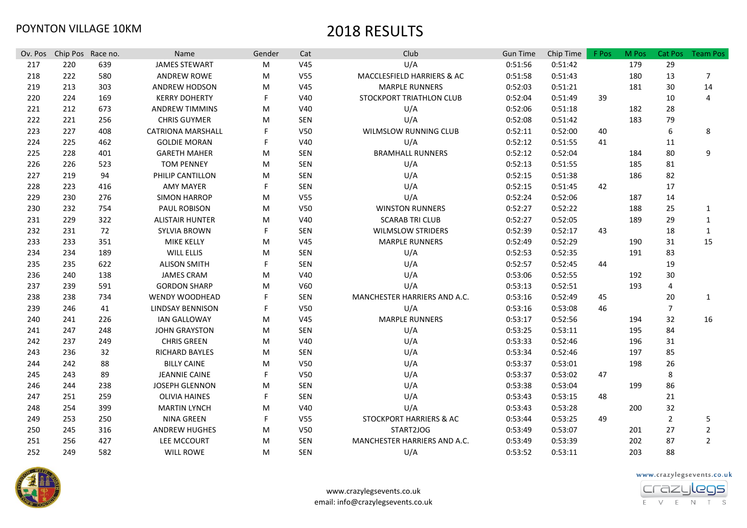| Ov. Pos | Chip Pos Race no. |     | Name                     | Gender | Cat             | Club                         | <b>Gun Time</b> | Chip Time | F Pos | M Pos | <b>Cat Pos</b> | <b>Team Pos</b> |
|---------|-------------------|-----|--------------------------|--------|-----------------|------------------------------|-----------------|-----------|-------|-------|----------------|-----------------|
| 217     | 220               | 639 | <b>JAMES STEWART</b>     | M      | V45             | U/A                          | 0:51:56         | 0:51:42   |       | 179   | 29             |                 |
| 218     | 222               | 580 | <b>ANDREW ROWE</b>       | M      | V <sub>55</sub> | MACCLESFIELD HARRIERS & AC   | 0:51:58         | 0:51:43   |       | 180   | 13             | 7               |
| 219     | 213               | 303 | <b>ANDREW HODSON</b>     | M      | V45             | <b>MARPLE RUNNERS</b>        | 0:52:03         | 0:51:21   |       | 181   | 30             | 14              |
| 220     | 224               | 169 | <b>KERRY DOHERTY</b>     | F      | V40             | STOCKPORT TRIATHLON CLUB     | 0:52:04         | 0:51:49   | 39    |       | 10             | 4               |
| 221     | 212               | 673 | <b>ANDREW TIMMINS</b>    | M      | V40             | U/A                          | 0:52:06         | 0:51:18   |       | 182   | 28             |                 |
| 222     | 221               | 256 | <b>CHRIS GUYMER</b>      | M      | SEN             | U/A                          | 0:52:08         | 0:51:42   |       | 183   | 79             |                 |
| 223     | 227               | 408 | <b>CATRIONA MARSHALL</b> | F      | V <sub>50</sub> | WILMSLOW RUNNING CLUB        | 0:52:11         | 0:52:00   | 40    |       | 6              | 8               |
| 224     | 225               | 462 | <b>GOLDIE MORAN</b>      | F      | V40             | U/A                          | 0:52:12         | 0:51:55   | 41    |       | 11             |                 |
| 225     | 228               | 401 | <b>GARETH MAHER</b>      | M      | SEN             | <b>BRAMHALL RUNNERS</b>      | 0:52:12         | 0:52:04   |       | 184   | 80             | 9               |
| 226     | 226               | 523 | <b>TOM PENNEY</b>        | M      | SEN             | U/A                          | 0:52:13         | 0:51:55   |       | 185   | 81             |                 |
| 227     | 219               | 94  | PHILIP CANTILLON         | M      | SEN             | U/A                          | 0:52:15         | 0:51:38   |       | 186   | 82             |                 |
| 228     | 223               | 416 | <b>AMY MAYER</b>         | F      | SEN             | U/A                          | 0:52:15         | 0:51:45   | 42    |       | 17             |                 |
| 229     | 230               | 276 | <b>SIMON HARROP</b>      | M      | V <sub>55</sub> | U/A                          | 0:52:24         | 0:52:06   |       | 187   | 14             |                 |
| 230     | 232               | 754 | PAUL ROBISON             | M      | V50             | <b>WINSTON RUNNERS</b>       | 0:52:27         | 0:52:22   |       | 188   | 25             | 1               |
| 231     | 229               | 322 | <b>ALISTAIR HUNTER</b>   | M      | V40             | <b>SCARAB TRI CLUB</b>       | 0:52:27         | 0:52:05   |       | 189   | 29             | 1               |
| 232     | 231               | 72  | <b>SYLVIA BROWN</b>      | F      | <b>SEN</b>      | <b>WILMSLOW STRIDERS</b>     | 0:52:39         | 0:52:17   | 43    |       | 18             | 1               |
| 233     | 233               | 351 | <b>MIKE KELLY</b>        | M      | V <sub>45</sub> | <b>MARPLE RUNNERS</b>        | 0:52:49         | 0:52:29   |       | 190   | 31             | 15              |
| 234     | 234               | 189 | <b>WILL ELLIS</b>        | M      | <b>SEN</b>      | U/A                          | 0:52:53         | 0:52:35   |       | 191   | 83             |                 |
| 235     | 235               | 622 | <b>ALISON SMITH</b>      | F      | <b>SEN</b>      | U/A                          | 0:52:57         | 0:52:45   | 44    |       | 19             |                 |
| 236     | 240               | 138 | <b>JAMES CRAM</b>        | M      | V40             | U/A                          | 0:53:06         | 0:52:55   |       | 192   | 30             |                 |
| 237     | 239               | 591 | <b>GORDON SHARP</b>      | M      | V60             | U/A                          | 0:53:13         | 0:52:51   |       | 193   | 4              |                 |
| 238     | 238               | 734 | WENDY WOODHEAD           | F      | SEN             | MANCHESTER HARRIERS AND A.C. | 0:53:16         | 0:52:49   | 45    |       | 20             | $\mathbf{1}$    |
| 239     | 246               | 41  | <b>LINDSAY BENNISON</b>  | F      | V <sub>50</sub> | U/A                          | 0:53:16         | 0:53:08   | 46    |       | $\overline{7}$ |                 |
| 240     | 241               | 226 | <b>IAN GALLOWAY</b>      | M      | V <sub>45</sub> | <b>MARPLE RUNNERS</b>        | 0:53:17         | 0:52:56   |       | 194   | 32             | 16              |
| 241     | 247               | 248 | <b>JOHN GRAYSTON</b>     | M      | SEN             | U/A                          | 0:53:25         | 0:53:11   |       | 195   | 84             |                 |
| 242     | 237               | 249 | <b>CHRIS GREEN</b>       | M      | V40             | U/A                          | 0:53:33         | 0:52:46   |       | 196   | 31             |                 |
| 243     | 236               | 32  | RICHARD BAYLES           | M      | SEN             | U/A                          | 0:53:34         | 0:52:46   |       | 197   | 85             |                 |
| 244     | 242               | 88  | <b>BILLY CAINE</b>       | M      | V <sub>50</sub> | U/A                          | 0:53:37         | 0:53:01   |       | 198   | 26             |                 |
| 245     | 243               | 89  | JEANNIE CAINE            | F      | V50             | U/A                          | 0:53:37         | 0:53:02   | 47    |       | 8              |                 |
| 246     | 244               | 238 | <b>JOSEPH GLENNON</b>    | M      | SEN             | U/A                          | 0:53:38         | 0:53:04   |       | 199   | 86             |                 |
| 247     | 251               | 259 | <b>OLIVIA HAINES</b>     | F      | SEN             | U/A                          | 0:53:43         | 0:53:15   | 48    |       | 21             |                 |
| 248     | 254               | 399 | <b>MARTIN LYNCH</b>      | M      | V40             | U/A                          | 0:53:43         | 0:53:28   |       | 200   | 32             |                 |
| 249     | 253               | 250 | <b>NINA GREEN</b>        | F      | V <sub>55</sub> | STOCKPORT HARRIERS & AC      | 0:53:44         | 0:53:25   | 49    |       | $\overline{2}$ | 5               |
| 250     | 245               | 316 | <b>ANDREW HUGHES</b>     | M      | V50             | START2JOG                    | 0:53:49         | 0:53:07   |       | 201   | 27             | 2               |
| 251     | 256               | 427 | LEE MCCOURT              | M      | <b>SEN</b>      | MANCHESTER HARRIERS AND A.C. | 0:53:49         | 0:53:39   |       | 202   | 87             | $\overline{2}$  |
| 252     | 249               | 582 | <b>WILL ROWE</b>         | M      | <b>SEN</b>      | U/A                          | 0:53:52         | 0:53:11   |       | 203   | 88             |                 |



E V E N T S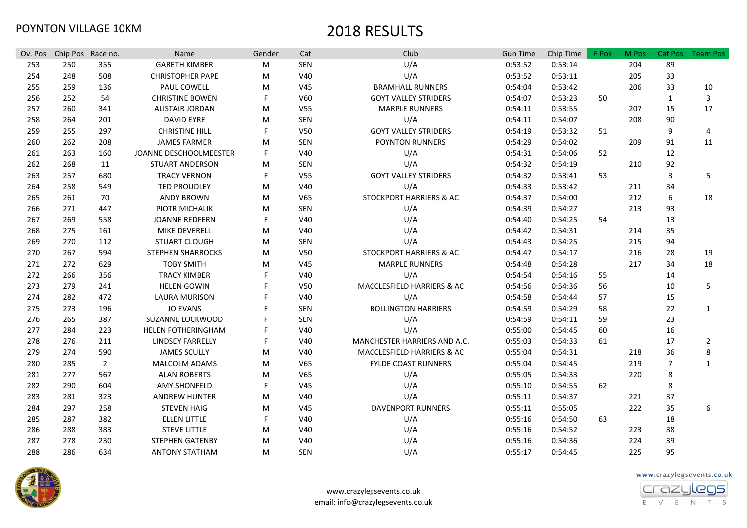| Ov. Pos | Chip Pos Race no. |                | Name                     | Gender | Cat             | Club                         | <b>Gun Time</b> | Chip Time | F Pos | M Pos | Cat Pos        | <b>Team Pos</b> |
|---------|-------------------|----------------|--------------------------|--------|-----------------|------------------------------|-----------------|-----------|-------|-------|----------------|-----------------|
| 253     | 250               | 355            | <b>GARETH KIMBER</b>     | M      | SEN             | U/A                          | 0:53:52         | 0:53:14   |       | 204   | 89             |                 |
| 254     | 248               | 508            | <b>CHRISTOPHER PAPE</b>  | М      | V40             | U/A                          | 0:53:52         | 0:53:11   |       | 205   | 33             |                 |
| 255     | 259               | 136            | PAUL COWELL              | м      | V45             | <b>BRAMHALL RUNNERS</b>      | 0:54:04         | 0:53:42   |       | 206   | 33             | 10              |
| 256     | 252               | 54             | <b>CHRISTINE BOWEN</b>   | F      | V60             | <b>GOYT VALLEY STRIDERS</b>  | 0:54:07         | 0:53:23   | 50    |       | $\mathbf{1}$   | 3               |
| 257     | 260               | 341            | <b>ALISTAIR JORDAN</b>   | м      | V55             | <b>MARPLE RUNNERS</b>        | 0:54:11         | 0:53:55   |       | 207   | 15             | 17              |
| 258     | 264               | 201            | <b>DAVID EYRE</b>        | м      | SEN             | U/A                          | 0:54:11         | 0:54:07   |       | 208   | 90             |                 |
| 259     | 255               | 297            | <b>CHRISTINE HILL</b>    | F      | V50             | <b>GOYT VALLEY STRIDERS</b>  | 0:54:19         | 0:53:32   | 51    |       | 9              | 4               |
| 260     | 262               | 208            | <b>JAMES FARMER</b>      | м      | SEN             | <b>POYNTON RUNNERS</b>       | 0:54:29         | 0:54:02   |       | 209   | 91             | 11              |
| 261     | 263               | 160            | JOANNE DESCHOOLMEESTER   | F      | V40             | U/A                          | 0:54:31         | 0:54:06   | 52    |       | 12             |                 |
| 262     | 268               | 11             | <b>STUART ANDERSON</b>   | м      | SEN             | U/A                          | 0:54:32         | 0:54:19   |       | 210   | 92             |                 |
| 263     | 257               | 680            | <b>TRACY VERNON</b>      | F      | V <sub>55</sub> | <b>GOYT VALLEY STRIDERS</b>  | 0:54:32         | 0:53:41   | 53    |       | 3              | 5               |
| 264     | 258               | 549            | <b>TED PROUDLEY</b>      | M      | V40             | U/A                          | 0:54:33         | 0:53:42   |       | 211   | 34             |                 |
| 265     | 261               | 70             | <b>ANDY BROWN</b>        | M      | V <sub>65</sub> | STOCKPORT HARRIERS & AC      | 0:54:37         | 0:54:00   |       | 212   | 6              | 18              |
| 266     | 271               | 447            | PIOTR MICHALIK           | M      | SEN             | U/A                          | 0:54:39         | 0:54:27   |       | 213   | 93             |                 |
| 267     | 269               | 558            | <b>JOANNE REDFERN</b>    | F      | V40             | U/A                          | 0:54:40         | 0:54:25   | 54    |       | 13             |                 |
| 268     | 275               | 161            | MIKE DEVERELL            | M      | V40             | U/A                          | 0:54:42         | 0:54:31   |       | 214   | 35             |                 |
| 269     | 270               | 112            | <b>STUART CLOUGH</b>     | M      | SEN             | U/A                          | 0:54:43         | 0:54:25   |       | 215   | 94             |                 |
| 270     | 267               | 594            | <b>STEPHEN SHARROCKS</b> | M      | V <sub>50</sub> | STOCKPORT HARRIERS & AC      | 0:54:47         | 0:54:17   |       | 216   | 28             | 19              |
| 271     | 272               | 629            | <b>TOBY SMITH</b>        | M      | V45             | <b>MARPLE RUNNERS</b>        | 0:54:48         | 0:54:28   |       | 217   | 34             | 18              |
| 272     | 266               | 356            | <b>TRACY KIMBER</b>      |        | V40             | U/A                          | 0:54:54         | 0:54:16   | 55    |       | 14             |                 |
| 273     | 279               | 241            | <b>HELEN GOWIN</b>       |        | V <sub>50</sub> | MACCLESFIELD HARRIERS & AC   | 0:54:56         | 0:54:36   | 56    |       | 10             | 5               |
| 274     | 282               | 472            | <b>LAURA MURISON</b>     |        | V40             | U/A                          | 0:54:58         | 0:54:44   | 57    |       | 15             |                 |
| 275     | 273               | 196            | <b>JO EVANS</b>          |        | SEN             | <b>BOLLINGTON HARRIERS</b>   | 0:54:59         | 0:54:29   | 58    |       | 22             | $\mathbf{1}$    |
| 276     | 265               | 387            | SUZANNE LOCKWOOD         |        | SEN             | U/A                          | 0:54:59         | 0:54:11   | 59    |       | 23             |                 |
| 277     | 284               | 223            | HELEN FOTHERINGHAM       |        | V40             | U/A                          | 0:55:00         | 0:54:45   | 60    |       | 16             |                 |
| 278     | 276               | 211            | <b>LINDSEY FARRELLY</b>  |        | V40             | MANCHESTER HARRIERS AND A.C. | 0:55:03         | 0:54:33   | 61    |       | 17             | $\overline{2}$  |
| 279     | 274               | 590            | <b>JAMES SCULLY</b>      | M      | V40             | MACCLESFIELD HARRIERS & AC   | 0:55:04         | 0:54:31   |       | 218   | 36             | 8               |
| 280     | 285               | $\overline{2}$ | <b>MALCOLM ADAMS</b>     | M      | V65             | <b>FYLDE COAST RUNNERS</b>   | 0:55:04         | 0:54:45   |       | 219   | $\overline{7}$ | $\mathbf{1}$    |
| 281     | 277               | 567            | <b>ALAN ROBERTS</b>      | M      | V65             | U/A                          | 0:55:05         | 0:54:33   |       | 220   | 8              |                 |
| 282     | 290               | 604            | <b>AMY SHONFELD</b>      | F      | V45             | U/A                          | 0:55:10         | 0:54:55   | 62    |       | 8              |                 |
| 283     | 281               | 323            | ANDREW HUNTER            | M      | V40             | U/A                          | 0:55:11         | 0:54:37   |       | 221   | 37             |                 |
| 284     | 297               | 258            | <b>STEVEN HAIG</b>       | M      | V45             | <b>DAVENPORT RUNNERS</b>     | 0:55:11         | 0:55:05   |       | 222   | 35             | 6               |
| 285     | 287               | 382            | <b>ELLEN LITTLE</b>      | F      | V40             | U/A                          | 0:55:16         | 0:54:50   | 63    |       | 18             |                 |
| 286     | 288               | 383            | <b>STEVE LITTLE</b>      | м      | V40             | U/A                          | 0:55:16         | 0:54:52   |       | 223   | 38             |                 |
| 287     | 278               | 230            | <b>STEPHEN GATENBY</b>   | м      | V40             | U/A                          | 0:55:16         | 0:54:36   |       | 224   | 39             |                 |
| 288     | 286               | 634            | <b>ANTONY STATHAM</b>    | м      | <b>SEN</b>      | U/A                          | 0:55:17         | 0:54:45   |       | 225   | 95             |                 |



www.crazylegsevents.co.uk

E V E N T S

crazu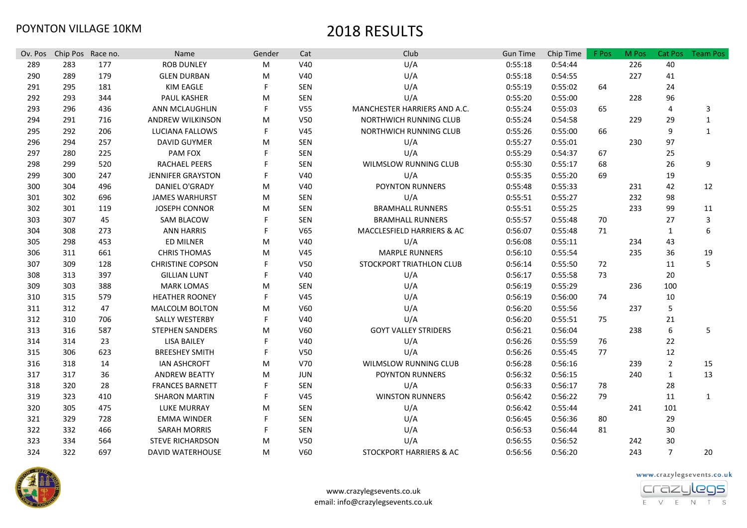| Ov. Pos | Chip Pos Race no. |     | Name                     | Gender | Cat             | Club                         | <b>Gun Time</b> | Chip Time | F Pos | M Pos | Cat Pos        | <b>Team Pos</b>  |
|---------|-------------------|-----|--------------------------|--------|-----------------|------------------------------|-----------------|-----------|-------|-------|----------------|------------------|
| 289     | 283               | 177 | <b>ROB DUNLEY</b>        | М      | V40             | U/A                          | 0:55:18         | 0:54:44   |       | 226   | 40             |                  |
| 290     | 289               | 179 | <b>GLEN DURBAN</b>       | M      | V40             | U/A                          | 0:55:18         | 0:54:55   |       | 227   | 41             |                  |
| 291     | 295               | 181 | <b>KIM EAGLE</b>         | F      | SEN             | U/A                          | 0:55:19         | 0:55:02   | 64    |       | 24             |                  |
| 292     | 293               | 344 | PAUL KASHER              | M      | SEN             | U/A                          | 0:55:20         | 0:55:00   |       | 228   | 96             |                  |
| 293     | 296               | 436 | ANN MCLAUGHLIN           | F      | V <sub>55</sub> | MANCHESTER HARRIERS AND A.C. | 0:55:24         | 0:55:03   | 65    |       | 4              | 3                |
| 294     | 291               | 716 | <b>ANDREW WILKINSON</b>  | м      | V <sub>50</sub> | NORTHWICH RUNNING CLUB       | 0:55:24         | 0:54:58   |       | 229   | 29             | $\mathbf{1}$     |
| 295     | 292               | 206 | LUCIANA FALLOWS          | F      | V45             | NORTHWICH RUNNING CLUB       | 0:55:26         | 0:55:00   | 66    |       | 9              | $\mathbf{1}$     |
| 296     | 294               | 257 | <b>DAVID GUYMER</b>      | M      | SEN             | U/A                          | 0:55:27         | 0:55:01   |       | 230   | 97             |                  |
| 297     | 280               | 225 | PAM FOX                  |        | SEN             | U/A                          | 0:55:29         | 0:54:37   | 67    |       | 25             |                  |
| 298     | 299               | 520 | RACHAEL PEERS            | F      | SEN             | WILMSLOW RUNNING CLUB        | 0:55:30         | 0:55:17   | 68    |       | 26             | 9                |
| 299     | 300               | 247 | <b>JENNIFER GRAYSTON</b> | F      | V40             | U/A                          | 0:55:35         | 0:55:20   | 69    |       | 19             |                  |
| 300     | 304               | 496 | DANIEL O'GRADY           | M      | V40             | <b>POYNTON RUNNERS</b>       | 0:55:48         | 0:55:33   |       | 231   | 42             | 12               |
| 301     | 302               | 696 | <b>JAMES WARHURST</b>    | M      | SEN             | U/A                          | 0:55:51         | 0:55:27   |       | 232   | 98             |                  |
| 302     | 301               | 119 | <b>JOSEPH CONNOR</b>     | M      | SEN             | <b>BRAMHALL RUNNERS</b>      | 0:55:51         | 0:55:25   |       | 233   | 99             | 11               |
| 303     | 307               | 45  | <b>SAM BLACOW</b>        | F      | SEN             | <b>BRAMHALL RUNNERS</b>      | 0:55:57         | 0:55:48   | 70    |       | 27             | 3                |
| 304     | 308               | 273 | <b>ANN HARRIS</b>        | F      | V65             | MACCLESFIELD HARRIERS & AC   | 0:56:07         | 0:55:48   | 71    |       | $\mathbf{1}$   | $\boldsymbol{6}$ |
| 305     | 298               | 453 | ED MILNER                | M      | V40             | U/A                          | 0:56:08         | 0:55:11   |       | 234   | 43             |                  |
| 306     | 311               | 661 | <b>CHRIS THOMAS</b>      | M      | V45             | <b>MARPLE RUNNERS</b>        | 0:56:10         | 0:55:54   |       | 235   | 36             | 19               |
| 307     | 309               | 128 | <b>CHRISTINE COPSON</b>  |        | V <sub>50</sub> | STOCKPORT TRIATHLON CLUB     | 0:56:14         | 0:55:50   | 72    |       | 11             | 5                |
| 308     | 313               | 397 | <b>GILLIAN LUNT</b>      | F      | V40             | U/A                          | 0:56:17         | 0:55:58   | 73    |       | 20             |                  |
| 309     | 303               | 388 | <b>MARK LOMAS</b>        | M      | SEN             | U/A                          | 0:56:19         | 0:55:29   |       | 236   | 100            |                  |
| 310     | 315               | 579 | <b>HEATHER ROONEY</b>    | F      | V45             | U/A                          | 0:56:19         | 0:56:00   | 74    |       | 10             |                  |
| 311     | 312               | 47  | <b>MALCOLM BOLTON</b>    | M      | V60             | U/A                          | 0:56:20         | 0:55:56   |       | 237   | 5              |                  |
| 312     | 310               | 706 | SALLY WESTERBY           | F      | V40             | U/A                          | 0:56:20         | 0:55:51   | 75    |       | 21             |                  |
| 313     | 316               | 587 | <b>STEPHEN SANDERS</b>   | M      | V60             | <b>GOYT VALLEY STRIDERS</b>  | 0:56:21         | 0:56:04   |       | 238   | 6              | 5                |
| 314     | 314               | 23  | <b>LISA BAILEY</b>       | F      | V40             | U/A                          | 0:56:26         | 0:55:59   | 76    |       | 22             |                  |
| 315     | 306               | 623 | <b>BREESHEY SMITH</b>    | F      | V50             | U/A                          | 0:56:26         | 0:55:45   | 77    |       | 12             |                  |
| 316     | 318               | 14  | <b>IAN ASHCROFT</b>      | м      | V70             | WILMSLOW RUNNING CLUB        | 0:56:28         | 0:56:16   |       | 239   | $\overline{2}$ | 15               |
| 317     | 317               | 36  | <b>ANDREW BEATTY</b>     | м      | JUN             | <b>POYNTON RUNNERS</b>       | 0:56:32         | 0:56:15   |       | 240   | $\mathbf{1}$   | 13               |
| 318     | 320               | 28  | <b>FRANCES BARNETT</b>   | F      | SEN             | U/A                          | 0:56:33         | 0:56:17   | 78    |       | 28             |                  |
| 319     | 323               | 410 | <b>SHARON MARTIN</b>     | F      | V45             | <b>WINSTON RUNNERS</b>       | 0:56:42         | 0:56:22   | 79    |       | 11             | $\mathbf{1}$     |
| 320     | 305               | 475 | <b>LUKE MURRAY</b>       | м      | SEN             | U/A                          | 0:56:42         | 0:55:44   |       | 241   | 101            |                  |
| 321     | 329               | 728 | <b>EMMA WINDER</b>       | F      | SEN             | U/A                          | 0:56:45         | 0:56:36   | 80    |       | 29             |                  |
| 322     | 332               | 466 | <b>SARAH MORRIS</b>      | F      | SEN             | U/A                          | 0:56:53         | 0:56:44   | 81    |       | 30             |                  |
| 323     | 334               | 564 | <b>STEVE RICHARDSON</b>  | м      | V50             | U/A                          | 0:56:55         | 0:56:52   |       | 242   | 30             |                  |
| 324     | 322               | 697 | DAVID WATERHOUSE         | м      | V60             | STOCKPORT HARRIERS & AC      | 0:56:56         | 0:56:20   |       | 243   | $\overline{7}$ | 20               |



www.crazylegsevents.co.uk email: info@crazylegsevents.co.uk



E V E N T S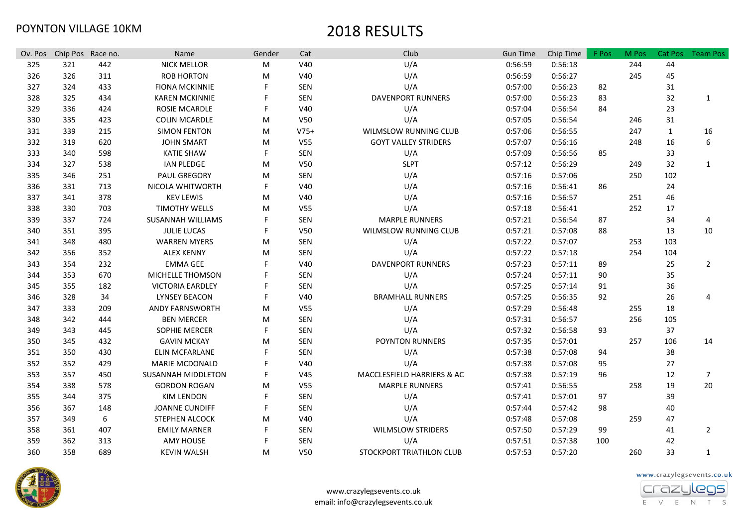| Ov. Pos | Chip Pos Race no. |     | Name                     | Gender | Cat             | Club                        | <b>Gun Time</b> | Chip Time | F Pos | M Pos | <b>Cat Pos</b> | <b>Team Pos</b> |
|---------|-------------------|-----|--------------------------|--------|-----------------|-----------------------------|-----------------|-----------|-------|-------|----------------|-----------------|
| 325     | 321               | 442 | <b>NICK MELLOR</b>       | M      | V40             | U/A                         | 0:56:59         | 0:56:18   |       | 244   | 44             |                 |
| 326     | 326               | 311 | <b>ROB HORTON</b>        | м      | V40             | U/A                         | 0:56:59         | 0:56:27   |       | 245   | 45             |                 |
| 327     | 324               | 433 | <b>FIONA MCKINNIE</b>    | F      | SEN             | U/A                         | 0:57:00         | 0:56:23   | 82    |       | 31             |                 |
| 328     | 325               | 434 | <b>KAREN MCKINNIE</b>    |        | SEN             | <b>DAVENPORT RUNNERS</b>    | 0:57:00         | 0:56:23   | 83    |       | 32             | 1               |
| 329     | 336               | 424 | <b>ROSIE MCARDLE</b>     | F      | V40             | U/A                         | 0:57:04         | 0:56:54   | 84    |       | 23             |                 |
| 330     | 335               | 423 | <b>COLIN MCARDLE</b>     | м      | V50             | U/A                         | 0:57:05         | 0:56:54   |       | 246   | 31             |                 |
| 331     | 339               | 215 | <b>SIMON FENTON</b>      | м      | $V75+$          | WILMSLOW RUNNING CLUB       | 0:57:06         | 0:56:55   |       | 247   | $\mathbf{1}$   | 16              |
| 332     | 319               | 620 | <b>JOHN SMART</b>        | м      | V <sub>55</sub> | <b>GOYT VALLEY STRIDERS</b> | 0:57:07         | 0:56:16   |       | 248   | 16             | 6               |
| 333     | 340               | 598 | <b>KATIE SHAW</b>        | F      | <b>SEN</b>      | U/A                         | 0:57:09         | 0:56:56   | 85    |       | 33             |                 |
| 334     | 327               | 538 | <b>IAN PLEDGE</b>        | м      | V50             | <b>SLPT</b>                 | 0:57:12         | 0:56:29   |       | 249   | 32             | 1               |
| 335     | 346               | 251 | <b>PAUL GREGORY</b>      | м      | <b>SEN</b>      | U/A                         | 0:57:16         | 0:57:06   |       | 250   | 102            |                 |
| 336     | 331               | 713 | NICOLA WHITWORTH         | F      | V40             | U/A                         | 0:57:16         | 0:56:41   | 86    |       | 24             |                 |
| 337     | 341               | 378 | <b>KEV LEWIS</b>         | м      | V40             | U/A                         | 0:57:16         | 0:56:57   |       | 251   | 46             |                 |
| 338     | 330               | 703 | <b>TIMOTHY WELLS</b>     | м      | V <sub>55</sub> | U/A                         | 0:57:18         | 0:56:41   |       | 252   | 17             |                 |
| 339     | 337               | 724 | <b>SUSANNAH WILLIAMS</b> |        | <b>SEN</b>      | <b>MARPLE RUNNERS</b>       | 0:57:21         | 0:56:54   | 87    |       | 34             | 4               |
| 340     | 351               | 395 | <b>JULIE LUCAS</b>       | F      | V50             | WILMSLOW RUNNING CLUB       | 0:57:21         | 0:57:08   | 88    |       | 13             | 10              |
| 341     | 348               | 480 | <b>WARREN MYERS</b>      | м      | <b>SEN</b>      | U/A                         | 0:57:22         | 0:57:07   |       | 253   | 103            |                 |
| 342     | 356               | 352 | <b>ALEX KENNY</b>        | м      | <b>SEN</b>      | U/A                         | 0:57:22         | 0:57:18   |       | 254   | 104            |                 |
| 343     | 354               | 232 | <b>EMMA GEE</b>          | F      | V40             | <b>DAVENPORT RUNNERS</b>    | 0:57:23         | 0:57:11   | 89    |       | 25             | $\overline{2}$  |
| 344     | 353               | 670 | MICHELLE THOMSON         |        | <b>SEN</b>      | U/A                         | 0:57:24         | 0:57:11   | 90    |       | 35             |                 |
| 345     | 355               | 182 | <b>VICTORIA EARDLEY</b>  |        | <b>SEN</b>      | U/A                         | 0:57:25         | 0:57:14   | 91    |       | 36             |                 |
| 346     | 328               | 34  | <b>LYNSEY BEACON</b>     |        | V40             | <b>BRAMHALL RUNNERS</b>     | 0:57:25         | 0:56:35   | 92    |       | 26             | $\overline{4}$  |
| 347     | 333               | 209 | <b>ANDY FARNSWORTH</b>   | м      | V55             | U/A                         | 0:57:29         | 0:56:48   |       | 255   | 18             |                 |
| 348     | 342               | 444 | <b>BEN MERCER</b>        | M      | SEN             | U/A                         | 0:57:31         | 0:56:57   |       | 256   | 105            |                 |
| 349     | 343               | 445 | <b>SOPHIE MERCER</b>     | F      | SEN             | U/A                         | 0:57:32         | 0:56:58   | 93    |       | 37             |                 |
| 350     | 345               | 432 | <b>GAVIN MCKAY</b>       | м      | SEN             | POYNTON RUNNERS             | 0:57:35         | 0:57:01   |       | 257   | 106            | 14              |
| 351     | 350               | 430 | <b>ELIN MCFARLANE</b>    | F      | SEN             | U/A                         | 0:57:38         | 0:57:08   | 94    |       | 38             |                 |
| 352     | 352               | 429 | <b>MARIE MCDONALD</b>    |        | V40             | U/A                         | 0:57:38         | 0:57:08   | 95    |       | 27             |                 |
| 353     | 357               | 450 | SUSANNAH MIDDLETON       | F      | V <sub>45</sub> | MACCLESFIELD HARRIERS & AC  | 0:57:38         | 0:57:19   | 96    |       | 12             | $\overline{7}$  |
| 354     | 338               | 578 | <b>GORDON ROGAN</b>      | м      | V55             | <b>MARPLE RUNNERS</b>       | 0:57:41         | 0:56:55   |       | 258   | 19             | 20              |
| 355     | 344               | 375 | <b>KIM LENDON</b>        | F      | SEN             | U/A                         | 0:57:41         | 0:57:01   | 97    |       | 39             |                 |
| 356     | 367               | 148 | <b>JOANNE CUNDIFF</b>    | F      | SEN             | U/A                         | 0:57:44         | 0:57:42   | 98    |       | 40             |                 |
| 357     | 349               | 6   | <b>STEPHEN ALCOCK</b>    | м      | V40             | U/A                         | 0:57:48         | 0:57:08   |       | 259   | 47             |                 |
| 358     | 361               | 407 | <b>EMILY MARNER</b>      | F      | SEN             | <b>WILMSLOW STRIDERS</b>    | 0:57:50         | 0:57:29   | 99    |       | 41             | $\overline{2}$  |
| 359     | 362               | 313 | <b>AMY HOUSE</b>         | F      | SEN             | U/A                         | 0:57:51         | 0:57:38   | 100   |       | 42             |                 |
| 360     | 358               | 689 | <b>KEVIN WALSH</b>       | м      | V50             | STOCKPORT TRIATHLON CLUB    | 0:57:53         | 0:57:20   |       | 260   | 33             | $\mathbf{1}$    |



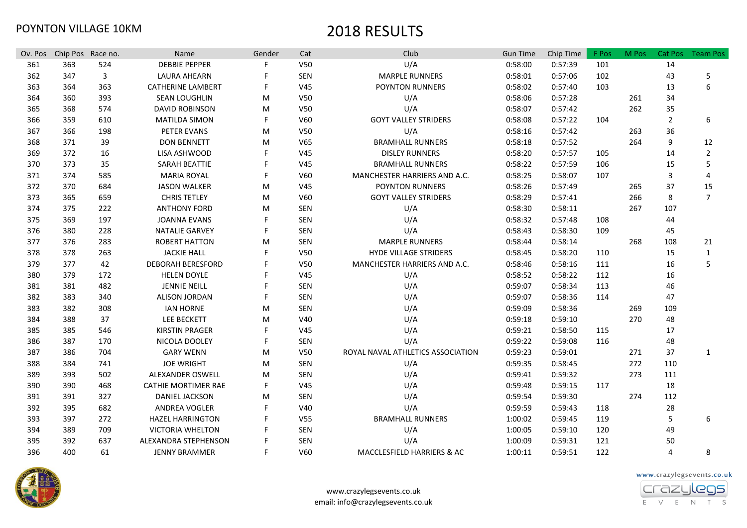| Ov. Pos | Chip Pos Race no. |     | Name                       | Gender | Cat             | Club                              | <b>Gun Time</b> | Chip Time | F Pos | M Pos | <b>Cat Pos</b> | <b>Team Pos</b> |
|---------|-------------------|-----|----------------------------|--------|-----------------|-----------------------------------|-----------------|-----------|-------|-------|----------------|-----------------|
| 361     | 363               | 524 | <b>DEBBIE PEPPER</b>       |        | V50             | U/A                               | 0:58:00         | 0:57:39   | 101   |       | 14             |                 |
| 362     | 347               | 3   | <b>LAURA AHEARN</b>        |        | SEN             | <b>MARPLE RUNNERS</b>             | 0:58:01         | 0:57:06   | 102   |       | 43             | 5               |
| 363     | 364               | 363 | <b>CATHERINE LAMBERT</b>   |        | V <sub>45</sub> | POYNTON RUNNERS                   | 0:58:02         | 0:57:40   | 103   |       | 13             | 6               |
| 364     | 360               | 393 | <b>SEAN LOUGHLIN</b>       | M      | V50             | U/A                               | 0:58:06         | 0:57:28   |       | 261   | 34             |                 |
| 365     | 368               | 574 | <b>DAVID ROBINSON</b>      | м      | V50             | U/A                               | 0:58:07         | 0:57:42   |       | 262   | 35             |                 |
| 366     | 359               | 610 | <b>MATILDA SIMON</b>       | F      | V60             | <b>GOYT VALLEY STRIDERS</b>       | 0:58:08         | 0:57:22   | 104   |       | 2              | 6               |
| 367     | 366               | 198 | PETER EVANS                | M      | V50             | U/A                               | 0:58:16         | 0:57:42   |       | 263   | 36             |                 |
| 368     | 371               | 39  | <b>DON BENNETT</b>         | м      | V65             | <b>BRAMHALL RUNNERS</b>           | 0:58:18         | 0:57:52   |       | 264   | 9              | 12              |
| 369     | 372               | 16  | LISA ASHWOOD               |        | V45             | <b>DISLEY RUNNERS</b>             | 0:58:20         | 0:57:57   | 105   |       | 14             | $\overline{2}$  |
| 370     | 373               | 35  | SARAH BEATTIE              |        | V45             | <b>BRAMHALL RUNNERS</b>           | 0:58:22         | 0:57:59   | 106   |       | 15             | 5               |
| 371     | 374               | 585 | <b>MARIA ROYAL</b>         | F      | V60             | MANCHESTER HARRIERS AND A.C.      | 0:58:25         | 0:58:07   | 107   |       | 3              | 4               |
| 372     | 370               | 684 | <b>JASON WALKER</b>        | м      | V45             | <b>POYNTON RUNNERS</b>            | 0:58:26         | 0:57:49   |       | 265   | 37             | 15              |
| 373     | 365               | 659 | <b>CHRIS TETLEY</b>        | M      | V60             | <b>GOYT VALLEY STRIDERS</b>       | 0:58:29         | 0:57:41   |       | 266   | 8              | $\overline{7}$  |
| 374     | 375               | 222 | <b>ANTHONY FORD</b>        | м      | <b>SEN</b>      | U/A                               | 0:58:30         | 0:58:11   |       | 267   | 107            |                 |
| 375     | 369               | 197 | <b>JOANNA EVANS</b>        |        | <b>SEN</b>      | U/A                               | 0:58:32         | 0:57:48   | 108   |       | 44             |                 |
| 376     | 380               | 228 | <b>NATALIE GARVEY</b>      | F      | SEN             | U/A                               | 0:58:43         | 0:58:30   | 109   |       | 45             |                 |
| 377     | 376               | 283 | <b>ROBERT HATTON</b>       | M      | <b>SEN</b>      | <b>MARPLE RUNNERS</b>             | 0:58:44         | 0:58:14   |       | 268   | 108            | 21              |
| 378     | 378               | 263 | <b>JACKIE HALL</b>         |        | V50             | <b>HYDE VILLAGE STRIDERS</b>      | 0:58:45         | 0:58:20   | 110   |       | 15             | $\mathbf{1}$    |
| 379     | 377               | 42  | <b>DEBORAH BERESFORD</b>   |        | V50             | MANCHESTER HARRIERS AND A.C.      | 0:58:46         | 0:58:16   | 111   |       | 16             | 5               |
| 380     | 379               | 172 | <b>HELEN DOYLE</b>         |        | V45             | U/A                               | 0:58:52         | 0:58:22   | 112   |       | 16             |                 |
| 381     | 381               | 482 | <b>JENNIE NEILL</b>        |        | <b>SEN</b>      | U/A                               | 0:59:07         | 0:58:34   | 113   |       | 46             |                 |
| 382     | 383               | 340 | <b>ALISON JORDAN</b>       |        | <b>SEN</b>      | U/A                               | 0:59:07         | 0:58:36   | 114   |       | 47             |                 |
| 383     | 382               | 308 | <b>IAN HORNE</b>           | м      | <b>SEN</b>      | U/A                               | 0:59:09         | 0:58:36   |       | 269   | 109            |                 |
| 384     | 388               | 37  | LEE BECKETT                | м      | V40             | U/A                               | 0:59:18         | 0:59:10   |       | 270   | 48             |                 |
| 385     | 385               | 546 | <b>KIRSTIN PRAGER</b>      |        | V45             | U/A                               | 0:59:21         | 0:58:50   | 115   |       | 17             |                 |
| 386     | 387               | 170 | NICOLA DOOLEY              | F      | <b>SEN</b>      | U/A                               | 0:59:22         | 0:59:08   | 116   |       | 48             |                 |
| 387     | 386               | 704 | <b>GARY WENN</b>           | M      | V50             | ROYAL NAVAL ATHLETICS ASSOCIATION | 0:59:23         | 0:59:01   |       | 271   | 37             | 1               |
| 388     | 384               | 741 | <b>JOE WRIGHT</b>          | M      | <b>SEN</b>      | U/A                               | 0:59:35         | 0:58:45   |       | 272   | 110            |                 |
| 389     | 393               | 502 | <b>ALEXANDER OSWELL</b>    | м      | SEN             | U/A                               | 0:59:41         | 0:59:32   |       | 273   | 111            |                 |
| 390     | 390               | 468 | <b>CATHIE MORTIMER RAE</b> | F      | V <sub>45</sub> | U/A                               | 0:59:48         | 0:59:15   | 117   |       | 18             |                 |
| 391     | 391               | 327 | <b>DANIEL JACKSON</b>      | м      | SEN             | U/A                               | 0:59:54         | 0:59:30   |       | 274   | 112            |                 |
| 392     | 395               | 682 | <b>ANDREA VOGLER</b>       |        | V40             | U/A                               | 0:59:59         | 0:59:43   | 118   |       | 28             |                 |
| 393     | 397               | 272 | <b>HAZEL HARRINGTON</b>    |        | V <sub>55</sub> | <b>BRAMHALL RUNNERS</b>           | 1:00:02         | 0:59:45   | 119   |       | 5              | 6               |
| 394     | 389               | 709 | <b>VICTORIA WHELTON</b>    |        | <b>SEN</b>      | U/A                               | 1:00:05         | 0:59:10   | 120   |       | 49             |                 |
| 395     | 392               | 637 | ALEXANDRA STEPHENSON       |        | <b>SEN</b>      | U/A                               | 1:00:09         | 0:59:31   | 121   |       | 50             |                 |
| 396     | 400               | 61  | <b>JENNY BRAMMER</b>       | F      | V60             | MACCLESFIELD HARRIERS & AC        | 1:00:11         | 0:59:51   | 122   |       | 4              | 8               |





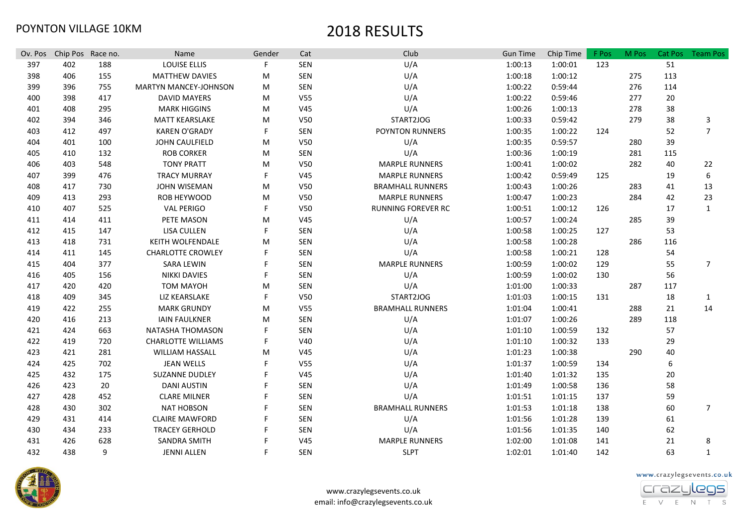| Ov. Pos | Chip Pos Race no. |     | Name                         | Gender | Cat             | Club                      | <b>Gun Time</b> | Chip Time | F Pos | M Pos | Cat Pos | <b>Team Pos</b> |
|---------|-------------------|-----|------------------------------|--------|-----------------|---------------------------|-----------------|-----------|-------|-------|---------|-----------------|
| 397     | 402               | 188 | LOUISE ELLIS                 |        | <b>SEN</b>      | U/A                       | 1:00:13         | 1:00:01   | 123   |       | 51      |                 |
| 398     | 406               | 155 | <b>MATTHEW DAVIES</b>        | M      | <b>SEN</b>      | U/A                       | 1:00:18         | 1:00:12   |       | 275   | 113     |                 |
| 399     | 396               | 755 | <b>MARTYN MANCEY-JOHNSON</b> | M      | SEN             | U/A                       | 1:00:22         | 0:59:44   |       | 276   | 114     |                 |
| 400     | 398               | 417 | <b>DAVID MAYERS</b>          | M      | V <sub>55</sub> | U/A                       | 1:00:22         | 0:59:46   |       | 277   | 20      |                 |
| 401     | 408               | 295 | <b>MARK HIGGINS</b>          | M      | V <sub>45</sub> | U/A                       | 1:00:26         | 1:00:13   |       | 278   | 38      |                 |
| 402     | 394               | 346 | <b>MATT KEARSLAKE</b>        | M      | V50             | START2JOG                 | 1:00:33         | 0:59:42   |       | 279   | 38      | 3               |
| 403     | 412               | 497 | <b>KAREN O'GRADY</b>         | F      | <b>SEN</b>      | POYNTON RUNNERS           | 1:00:35         | 1:00:22   | 124   |       | 52      | $\overline{7}$  |
| 404     | 401               | 100 | <b>JOHN CAULFIELD</b>        | M      | V50             | U/A                       | 1:00:35         | 0:59:57   |       | 280   | 39      |                 |
| 405     | 410               | 132 | <b>ROB CORKER</b>            | M      | SEN             | U/A                       | 1:00:36         | 1:00:19   |       | 281   | 115     |                 |
| 406     | 403               | 548 | <b>TONY PRATT</b>            | M      | V50             | <b>MARPLE RUNNERS</b>     | 1:00:41         | 1:00:02   |       | 282   | 40      | 22              |
| 407     | 399               | 476 | <b>TRACY MURRAY</b>          | F      | V <sub>45</sub> | <b>MARPLE RUNNERS</b>     | 1:00:42         | 0:59:49   | 125   |       | 19      | 6               |
| 408     | 417               | 730 | <b>JOHN WISEMAN</b>          | M      | V <sub>50</sub> | <b>BRAMHALL RUNNERS</b>   | 1:00:43         | 1:00:26   |       | 283   | 41      | 13              |
| 409     | 413               | 293 | ROB HEYWOOD                  | M      | V50             | <b>MARPLE RUNNERS</b>     | 1:00:47         | 1:00:23   |       | 284   | 42      | 23              |
| 410     | 407               | 525 | <b>VAL PERIGO</b>            | F      | V <sub>50</sub> | <b>RUNNING FOREVER RC</b> | 1:00:51         | 1:00:12   | 126   |       | 17      | $\mathbf{1}$    |
| 411     | 414               | 411 | PETE MASON                   | M      | V45             | U/A                       | 1:00:57         | 1:00:24   |       | 285   | 39      |                 |
| 412     | 415               | 147 | LISA CULLEN                  | F      | <b>SEN</b>      | U/A                       | 1:00:58         | 1:00:25   | 127   |       | 53      |                 |
| 413     | 418               | 731 | <b>KEITH WOLFENDALE</b>      | M      | <b>SEN</b>      | U/A                       | 1:00:58         | 1:00:28   |       | 286   | 116     |                 |
| 414     | 411               | 145 | <b>CHARLOTTE CROWLEY</b>     | F      | <b>SEN</b>      | U/A                       | 1:00:58         | 1:00:21   | 128   |       | 54      |                 |
| 415     | 404               | 377 | <b>SARA LEWIN</b>            |        | <b>SEN</b>      | <b>MARPLE RUNNERS</b>     | 1:00:59         | 1:00:02   | 129   |       | 55      | $\overline{7}$  |
| 416     | 405               | 156 | <b>NIKKI DAVIES</b>          | F      | <b>SEN</b>      | U/A                       | 1:00:59         | 1:00:02   | 130   |       | 56      |                 |
| 417     | 420               | 420 | <b>TOM MAYOH</b>             | M      | <b>SEN</b>      | U/A                       | 1:01:00         | 1:00:33   |       | 287   | 117     |                 |
| 418     | 409               | 345 | LIZ KEARSLAKE                | F      | V50             | START2JOG                 | 1:01:03         | 1:00:15   | 131   |       | 18      | 1               |
| 419     | 422               | 255 | <b>MARK GRUNDY</b>           | M      | V <sub>55</sub> | <b>BRAMHALL RUNNERS</b>   | 1:01:04         | 1:00:41   |       | 288   | 21      | 14              |
| 420     | 416               | 213 | <b>IAIN FAULKNER</b>         | M      | SEN             | U/A                       | 1:01:07         | 1:00:26   |       | 289   | 118     |                 |
| 421     | 424               | 663 | NATASHA THOMASON             | F      | <b>SEN</b>      | U/A                       | 1:01:10         | 1:00:59   | 132   |       | 57      |                 |
| 422     | 419               | 720 | <b>CHARLOTTE WILLIAMS</b>    |        | V40             | U/A                       | 1:01:10         | 1:00:32   | 133   |       | 29      |                 |
| 423     | 421               | 281 | <b>WILLIAM HASSALL</b>       | M      | V45             | U/A                       | 1:01:23         | 1:00:38   |       | 290   | 40      |                 |
| 424     | 425               | 702 | <b>JEAN WELLS</b>            |        | <b>V55</b>      | U/A                       | 1:01:37         | 1:00:59   | 134   |       | 6       |                 |
| 425     | 432               | 175 | SUZANNE DUDLEY               |        | V <sub>45</sub> | U/A                       | 1:01:40         | 1:01:32   | 135   |       | 20      |                 |
| 426     | 423               | 20  | <b>DANI AUSTIN</b>           |        | <b>SEN</b>      | U/A                       | 1:01:49         | 1:00:58   | 136   |       | 58      |                 |
| 427     | 428               | 452 | <b>CLARE MILNER</b>          |        | <b>SEN</b>      | U/A                       | 1:01:51         | 1:01:15   | 137   |       | 59      |                 |
| 428     | 430               | 302 | <b>NAT HOBSON</b>            |        | <b>SEN</b>      | <b>BRAMHALL RUNNERS</b>   | 1:01:53         | 1:01:18   | 138   |       | 60      | $\overline{7}$  |
| 429     | 431               | 414 | <b>CLAIRE MAWFORD</b>        |        | <b>SEN</b>      | U/A                       | 1:01:56         | 1:01:28   | 139   |       | 61      |                 |
| 430     | 434               | 233 | <b>TRACEY GERHOLD</b>        |        | <b>SEN</b>      | U/A                       | 1:01:56         | 1:01:35   | 140   |       | 62      |                 |
| 431     | 426               | 628 | <b>SANDRA SMITH</b>          |        | V45             | <b>MARPLE RUNNERS</b>     | 1:02:00         | 1:01:08   | 141   |       | 21      | 8               |
| 432     | 438               | 9   | <b>JENNI ALLEN</b>           | F      | SEN             | <b>SLPT</b>               | 1:02:01         | 1:01:40   | 142   |       | 63      | 1               |



www.crazylegsevents.co.uk

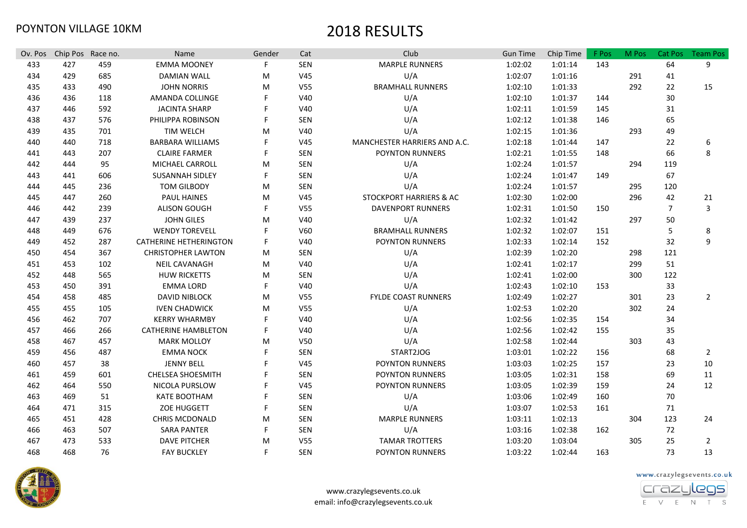| Ov. Pos | Chip Pos Race no. |     | Name                       | Gender | Cat             | Club                         | <b>Gun Time</b> | Chip Time | F Pos | M Pos | Cat Pos        | <b>Team Pos</b> |
|---------|-------------------|-----|----------------------------|--------|-----------------|------------------------------|-----------------|-----------|-------|-------|----------------|-----------------|
| 433     | 427               | 459 | <b>EMMA MOONEY</b>         | F.     | SEN             | <b>MARPLE RUNNERS</b>        | 1:02:02         | 1:01:14   | 143   |       | 64             | 9               |
| 434     | 429               | 685 | <b>DAMIAN WALL</b>         | M      | V <sub>45</sub> | U/A                          | 1:02:07         | 1:01:16   |       | 291   | 41             |                 |
| 435     | 433               | 490 | <b>JOHN NORRIS</b>         | M      | V <sub>55</sub> | <b>BRAMHALL RUNNERS</b>      | 1:02:10         | 1:01:33   |       | 292   | 22             | 15              |
| 436     | 436               | 118 | AMANDA COLLINGE            |        | V40             | U/A                          | 1:02:10         | 1:01:37   | 144   |       | 30             |                 |
| 437     | 446               | 592 | <b>JACINTA SHARP</b>       |        | V40             | U/A                          | 1:02:11         | 1:01:59   | 145   |       | 31             |                 |
| 438     | 437               | 576 | PHILIPPA ROBINSON          | F      | SEN             | U/A                          | 1:02:12         | 1:01:38   | 146   |       | 65             |                 |
| 439     | 435               | 701 | TIM WELCH                  | M      | V40             | U/A                          | 1:02:15         | 1:01:36   |       | 293   | 49             |                 |
| 440     | 440               | 718 | <b>BARBARA WILLIAMS</b>    | F      | V <sub>45</sub> | MANCHESTER HARRIERS AND A.C. | 1:02:18         | 1:01:44   | 147   |       | 22             | 6               |
| 441     | 443               | 207 | <b>CLAIRE FARMER</b>       | F      | SEN             | POYNTON RUNNERS              | 1:02:21         | 1:01:55   | 148   |       | 66             | 8               |
| 442     | 444               | 95  | MICHAEL CARROLL            | M      | SEN             | U/A                          | 1:02:24         | 1:01:57   |       | 294   | 119            |                 |
| 443     | 441               | 606 | <b>SUSANNAH SIDLEY</b>     | F      | SEN             | U/A                          | 1:02:24         | 1:01:47   | 149   |       | 67             |                 |
| 444     | 445               | 236 | <b>TOM GILBODY</b>         | M      | SEN             | U/A                          | 1:02:24         | 1:01:57   |       | 295   | 120            |                 |
| 445     | 447               | 260 | <b>PAUL HAINES</b>         | M      | V <sub>45</sub> | STOCKPORT HARRIERS & AC      | 1:02:30         | 1:02:00   |       | 296   | 42             | 21              |
| 446     | 442               | 239 | <b>ALISON GOUGH</b>        | F      | V <sub>55</sub> | <b>DAVENPORT RUNNERS</b>     | 1:02:31         | 1:01:50   | 150   |       | $\overline{7}$ | 3               |
| 447     | 439               | 237 | <b>JOHN GILES</b>          | M      | V40             | U/A                          | 1:02:32         | 1:01:42   |       | 297   | 50             |                 |
| 448     | 449               | 676 | <b>WENDY TOREVELL</b>      | F      | V60             | <b>BRAMHALL RUNNERS</b>      | 1:02:32         | 1:02:07   | 151   |       | 5              | 8               |
| 449     | 452               | 287 | CATHERINE HETHERINGTON     | F      | V40             | <b>POYNTON RUNNERS</b>       | 1:02:33         | 1:02:14   | 152   |       | 32             | 9               |
| 450     | 454               | 367 | <b>CHRISTOPHER LAWTON</b>  | м      | <b>SEN</b>      | U/A                          | 1:02:39         | 1:02:20   |       | 298   | 121            |                 |
| 451     | 453               | 102 | <b>NEIL CAVANAGH</b>       | M      | V40             | U/A                          | 1:02:41         | 1:02:17   |       | 299   | 51             |                 |
| 452     | 448               | 565 | <b>HUW RICKETTS</b>        | м      | <b>SEN</b>      | U/A                          | 1:02:41         | 1:02:00   |       | 300   | 122            |                 |
| 453     | 450               | 391 | <b>EMMA LORD</b>           | F      | V40             | U/A                          | 1:02:43         | 1:02:10   | 153   |       | 33             |                 |
| 454     | 458               | 485 | <b>DAVID NIBLOCK</b>       | M      | V <sub>55</sub> | <b>FYLDE COAST RUNNERS</b>   | 1:02:49         | 1:02:27   |       | 301   | 23             | 2               |
| 455     | 455               | 105 | <b>IVEN CHADWICK</b>       | M      | V <sub>55</sub> | U/A                          | 1:02:53         | 1:02:20   |       | 302   | 24             |                 |
| 456     | 462               | 707 | <b>KERRY WHARMBY</b>       | F      | V40             | U/A                          | 1:02:56         | 1:02:35   | 154   |       | 34             |                 |
| 457     | 466               | 266 | <b>CATHERINE HAMBLETON</b> | F      | V40             | U/A                          | 1:02:56         | 1:02:42   | 155   |       | 35             |                 |
| 458     | 467               | 457 | <b>MARK MOLLOY</b>         | M      | V50             | U/A                          | 1:02:58         | 1:02:44   |       | 303   | 43             |                 |
| 459     | 456               | 487 | <b>EMMA NOCK</b>           | F      | SEN             | START2JOG                    | 1:03:01         | 1:02:22   | 156   |       | 68             | $\overline{2}$  |
| 460     | 457               | 38  | <b>JENNY BELL</b>          |        | V45             | POYNTON RUNNERS              | 1:03:03         | 1:02:25   | 157   |       | 23             | 10              |
| 461     | 459               | 601 | CHELSEA SHOESMITH          |        | SEN             | POYNTON RUNNERS              | 1:03:05         | 1:02:31   | 158   |       | 69             | 11              |
| 462     | 464               | 550 | NICOLA PURSLOW             |        | V45             | POYNTON RUNNERS              | 1:03:05         | 1:02:39   | 159   |       | 24             | 12              |
| 463     | 469               | 51  | <b>KATE BOOTHAM</b>        |        | SEN             | U/A                          | 1:03:06         | 1:02:49   | 160   |       | 70             |                 |
| 464     | 471               | 315 | ZOE HUGGETT                | F      | SEN             | U/A                          | 1:03:07         | 1:02:53   | 161   |       | 71             |                 |
| 465     | 451               | 428 | <b>CHRIS MCDONALD</b>      | M      | SEN             | <b>MARPLE RUNNERS</b>        | 1:03:11         | 1:02:13   |       | 304   | 123            | 24              |
| 466     | 463               | 507 | <b>SARA PANTER</b>         | F      | SEN             | U/A                          | 1:03:16         | 1:02:38   | 162   |       | 72             |                 |
| 467     | 473               | 533 | <b>DAVE PITCHER</b>        | M      | V <sub>55</sub> | <b>TAMAR TROTTERS</b>        | 1:03:20         | 1:03:04   |       | 305   | 25             | $\overline{2}$  |
| 468     | 468               | 76  | <b>FAY BUCKLEY</b>         | F      | SEN             | <b>POYNTON RUNNERS</b>       | 1:03:22         | 1:02:44   | 163   |       | 73             | 13              |



www.crazylegsevents.co.uk email: info@crazylegsevents.co.uk www.crazylegsevents.co.uk

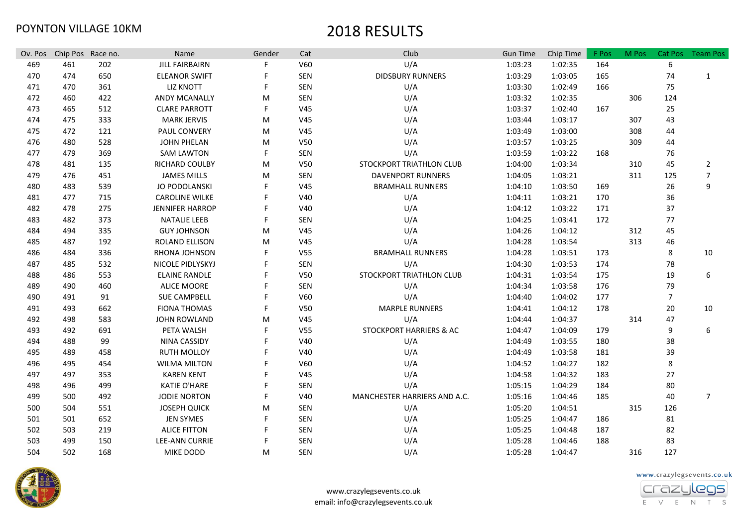| Ov. Pos | Chip Pos Race no. |     | Name                   | Gender | Cat             | Club                         | <b>Gun Time</b> | Chip Time | F Pos | M Pos | Cat Pos        | <b>Team Pos</b> |
|---------|-------------------|-----|------------------------|--------|-----------------|------------------------------|-----------------|-----------|-------|-------|----------------|-----------------|
| 469     | 461               | 202 | <b>JILL FAIRBAIRN</b>  |        | V60             | U/A                          | 1:03:23         | 1:02:35   | 164   |       | 6              |                 |
| 470     | 474               | 650 | <b>ELEANOR SWIFT</b>   |        | SEN             | <b>DIDSBURY RUNNERS</b>      | 1:03:29         | 1:03:05   | 165   |       | 74             | 1               |
| 471     | 470               | 361 | <b>LIZ KNOTT</b>       | F      | SEN             | U/A                          | 1:03:30         | 1:02:49   | 166   |       | 75             |                 |
| 472     | 460               | 422 | ANDY MCANALLY          | M      | SEN             | U/A                          | 1:03:32         | 1:02:35   |       | 306   | 124            |                 |
| 473     | 465               | 512 | <b>CLARE PARROTT</b>   | F      | V <sub>45</sub> | U/A                          | 1:03:37         | 1:02:40   | 167   |       | 25             |                 |
| 474     | 475               | 333 | <b>MARK JERVIS</b>     | M      | V <sub>45</sub> | U/A                          | 1:03:44         | 1:03:17   |       | 307   | 43             |                 |
| 475     | 472               | 121 | PAUL CONVERY           | M      | V <sub>45</sub> | U/A                          | 1:03:49         | 1:03:00   |       | 308   | 44             |                 |
| 476     | 480               | 528 | <b>JOHN PHELAN</b>     | M      | V <sub>50</sub> | U/A                          | 1:03:57         | 1:03:25   |       | 309   | 44             |                 |
| 477     | 479               | 369 | <b>SAM LAWTON</b>      | F      | SEN             | U/A                          | 1:03:59         | 1:03:22   | 168   |       | 76             |                 |
| 478     | 481               | 135 | RICHARD COULBY         | M      | V <sub>50</sub> | STOCKPORT TRIATHLON CLUB     | 1:04:00         | 1:03:34   |       | 310   | 45             | $\overline{2}$  |
| 479     | 476               | 451 | <b>JAMES MILLS</b>     | M      | SEN             | <b>DAVENPORT RUNNERS</b>     | 1:04:05         | 1:03:21   |       | 311   | 125            | $\overline{7}$  |
| 480     | 483               | 539 | JO PODOLANSKI          |        | V <sub>45</sub> | <b>BRAMHALL RUNNERS</b>      | 1:04:10         | 1:03:50   | 169   |       | 26             | 9               |
| 481     | 477               | 715 | <b>CAROLINE WILKE</b>  |        | V40             | U/A                          | 1:04:11         | 1:03:21   | 170   |       | 36             |                 |
| 482     | 478               | 275 | <b>JENNIFER HARROP</b> |        | V40             | U/A                          | 1:04:12         | 1:03:22   | 171   |       | 37             |                 |
| 483     | 482               | 373 | <b>NATALIE LEEB</b>    |        | SEN             | U/A                          | 1:04:25         | 1:03:41   | 172   |       | 77             |                 |
| 484     | 494               | 335 | <b>GUY JOHNSON</b>     | M      | V <sub>45</sub> | U/A                          | 1:04:26         | 1:04:12   |       | 312   | 45             |                 |
| 485     | 487               | 192 | ROLAND ELLISON         | M      | V <sub>45</sub> | U/A                          | 1:04:28         | 1:03:54   |       | 313   | 46             |                 |
| 486     | 484               | 336 | RHONA JOHNSON          |        | V <sub>55</sub> | <b>BRAMHALL RUNNERS</b>      | 1:04:28         | 1:03:51   | 173   |       | 8              | 10              |
| 487     | 485               | 532 | NICOLE PIDLYSKYJ       |        | SEN             | U/A                          | 1:04:30         | 1:03:53   | 174   |       | 78             |                 |
| 488     | 486               | 553 | <b>ELAINE RANDLE</b>   |        | V50             | STOCKPORT TRIATHLON CLUB     | 1:04:31         | 1:03:54   | 175   |       | 19             | 6               |
| 489     | 490               | 460 | <b>ALICE MOORE</b>     |        | SEN             | U/A                          | 1:04:34         | 1:03:58   | 176   |       | 79             |                 |
| 490     | 491               | 91  | <b>SUE CAMPBELL</b>    |        | V60             | U/A                          | 1:04:40         | 1:04:02   | 177   |       | $\overline{7}$ |                 |
| 491     | 493               | 662 | <b>FIONA THOMAS</b>    | F      | V <sub>50</sub> | <b>MARPLE RUNNERS</b>        | 1:04:41         | 1:04:12   | 178   |       | 20             | 10              |
| 492     | 498               | 583 | <b>JOHN ROWLAND</b>    | M      | V <sub>45</sub> | U/A                          | 1:04:44         | 1:04:37   |       | 314   | 47             |                 |
| 493     | 492               | 691 | PETA WALSH             | F      | V <sub>55</sub> | STOCKPORT HARRIERS & AC      | 1:04:47         | 1:04:09   | 179   |       | 9              | 6               |
| 494     | 488               | 99  | NINA CASSIDY           |        | V40             | U/A                          | 1:04:49         | 1:03:55   | 180   |       | 38             |                 |
| 495     | 489               | 458 | <b>RUTH MOLLOY</b>     |        | V40             | U/A                          | 1:04:49         | 1:03:58   | 181   |       | 39             |                 |
| 496     | 495               | 454 | <b>WILMA MILTON</b>    |        | V60             | U/A                          | 1:04:52         | 1:04:27   | 182   |       | 8              |                 |
| 497     | 497               | 353 | <b>KAREN KENT</b>      |        | V <sub>45</sub> | U/A                          | 1:04:58         | 1:04:32   | 183   |       | 27             |                 |
| 498     | 496               | 499 | <b>KATIE O'HARE</b>    |        | <b>SEN</b>      | U/A                          | 1:05:15         | 1:04:29   | 184   |       | 80             |                 |
| 499     | 500               | 492 | <b>JODIE NORTON</b>    | F      | V40             | MANCHESTER HARRIERS AND A.C. | 1:05:16         | 1:04:46   | 185   |       | 40             | $\overline{7}$  |
| 500     | 504               | 551 | <b>JOSEPH QUICK</b>    | M      | <b>SEN</b>      | U/A                          | 1:05:20         | 1:04:51   |       | 315   | 126            |                 |
| 501     | 501               | 652 | <b>JEN SYMES</b>       |        | SEN             | U/A                          | 1:05:25         | 1:04:47   | 186   |       | 81             |                 |
| 502     | 503               | 219 | <b>ALICE FITTON</b>    |        | <b>SEN</b>      | U/A                          | 1:05:25         | 1:04:48   | 187   |       | 82             |                 |
| 503     | 499               | 150 | <b>LEE-ANN CURRIE</b>  |        | SEN             | U/A                          | 1:05:28         | 1:04:46   | 188   |       | 83             |                 |
| 504     | 502               | 168 | <b>MIKE DODD</b>       | M      | <b>SEN</b>      | U/A                          | 1:05:28         | 1:04:47   |       | 316   | 127            |                 |



www.crazylegsevents.co.uk

E V E N T S

crazu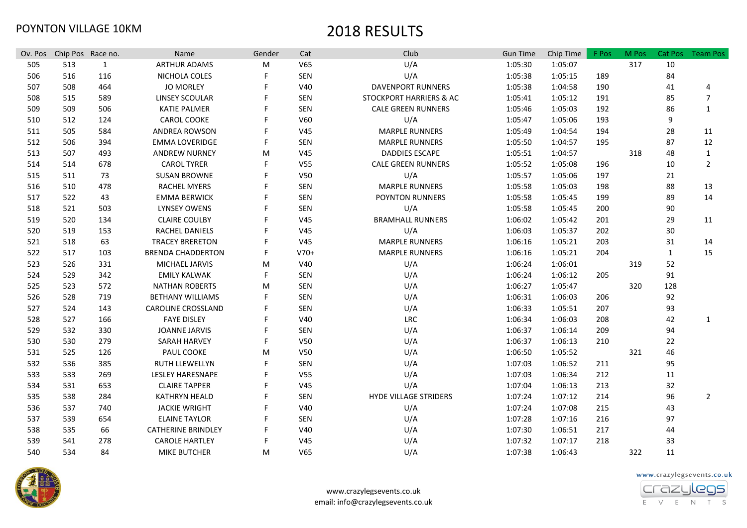| Ov. Pos | Chip Pos Race no. |     | Name                      | Gender | Cat             | Club                         | <b>Gun Time</b> | Chip Time | F Pos | M Pos | <b>Cat Pos</b> | <b>Team Pos</b> |
|---------|-------------------|-----|---------------------------|--------|-----------------|------------------------------|-----------------|-----------|-------|-------|----------------|-----------------|
| 505     | 513               | 1   | <b>ARTHUR ADAMS</b>       | M      | V65             | U/A                          | 1:05:30         | 1:05:07   |       | 317   | 10             |                 |
| 506     | 516               | 116 | NICHOLA COLES             |        | <b>SEN</b>      | U/A                          | 1:05:38         | 1:05:15   | 189   |       | 84             |                 |
| 507     | 508               | 464 | <b>JO MORLEY</b>          |        | V40             | <b>DAVENPORT RUNNERS</b>     | 1:05:38         | 1:04:58   | 190   |       | 41             | 4               |
| 508     | 515               | 589 | LINSEY SCOULAR            |        | <b>SEN</b>      | STOCKPORT HARRIERS & AC      | 1:05:41         | 1:05:12   | 191   |       | 85             | $\overline{7}$  |
| 509     | 509               | 506 | <b>KATIE PALMER</b>       |        | <b>SEN</b>      | <b>CALE GREEN RUNNERS</b>    | 1:05:46         | 1:05:03   | 192   |       | 86             | $\mathbf{1}$    |
| 510     | 512               | 124 | CAROL COOKE               |        | V60             | U/A                          | 1:05:47         | 1:05:06   | 193   |       | 9              |                 |
| 511     | 505               | 584 | <b>ANDREA ROWSON</b>      |        | V45             | <b>MARPLE RUNNERS</b>        | 1:05:49         | 1:04:54   | 194   |       | 28             | 11              |
| 512     | 506               | 394 | <b>EMMA LOVERIDGE</b>     |        | <b>SEN</b>      | <b>MARPLE RUNNERS</b>        | 1:05:50         | 1:04:57   | 195   |       | 87             | 12              |
| 513     | 507               | 493 | <b>ANDREW NURNEY</b>      | M      | V <sub>45</sub> | <b>DADDIES ESCAPE</b>        | 1:05:51         | 1:04:57   |       | 318   | 48             | $\mathbf{1}$    |
| 514     | 514               | 678 | <b>CAROL TYRER</b>        |        | V <sub>55</sub> | <b>CALE GREEN RUNNERS</b>    | 1:05:52         | 1:05:08   | 196   |       | 10             | $\overline{2}$  |
| 515     | 511               | 73  | <b>SUSAN BROWNE</b>       |        | V50             | U/A                          | 1:05:57         | 1:05:06   | 197   |       | 21             |                 |
| 516     | 510               | 478 | <b>RACHEL MYERS</b>       |        | <b>SEN</b>      | <b>MARPLE RUNNERS</b>        | 1:05:58         | 1:05:03   | 198   |       | 88             | 13              |
| 517     | 522               | 43  | <b>EMMA BERWICK</b>       |        | <b>SEN</b>      | POYNTON RUNNERS              | 1:05:58         | 1:05:45   | 199   |       | 89             | 14              |
| 518     | 521               | 503 | <b>LYNSEY OWENS</b>       |        | SEN             | U/A                          | 1:05:58         | 1:05:45   | 200   |       | 90             |                 |
| 519     | 520               | 134 | <b>CLAIRE COULBY</b>      |        | V <sub>45</sub> | <b>BRAMHALL RUNNERS</b>      | 1:06:02         | 1:05:42   | 201   |       | 29             | 11              |
| 520     | 519               | 153 | <b>RACHEL DANIELS</b>     |        | V <sub>45</sub> | U/A                          | 1:06:03         | 1:05:37   | 202   |       | 30             |                 |
| 521     | 518               | 63  | <b>TRACEY BRERETON</b>    |        | V <sub>45</sub> | <b>MARPLE RUNNERS</b>        | 1:06:16         | 1:05:21   | 203   |       | 31             | 14              |
| 522     | 517               | 103 | <b>BRENDA CHADDERTON</b>  |        | $V70+$          | <b>MARPLE RUNNERS</b>        | 1:06:16         | 1:05:21   | 204   |       | 1              | 15              |
| 523     | 526               | 331 | MICHAEL JARVIS            | M      | V40             | U/A                          | 1:06:24         | 1:06:01   |       | 319   | 52             |                 |
| 524     | 529               | 342 | <b>EMILY KALWAK</b>       | F      | <b>SEN</b>      | U/A                          | 1:06:24         | 1:06:12   | 205   |       | 91             |                 |
| 525     | 523               | 572 | <b>NATHAN ROBERTS</b>     | M      | <b>SEN</b>      | U/A                          | 1:06:27         | 1:05:47   |       | 320   | 128            |                 |
| 526     | 528               | 719 | <b>BETHANY WILLIAMS</b>   |        | <b>SEN</b>      | U/A                          | 1:06:31         | 1:06:03   | 206   |       | 92             |                 |
| 527     | 524               | 143 | <b>CAROLINE CROSSLAND</b> |        | <b>SEN</b>      | U/A                          | 1:06:33         | 1:05:51   | 207   |       | 93             |                 |
| 528     | 527               | 166 | <b>FAYE DISLEY</b>        |        | V40             | <b>LRC</b>                   | 1:06:34         | 1:06:03   | 208   |       | 42             | 1               |
| 529     | 532               | 330 | <b>JOANNE JARVIS</b>      |        | <b>SEN</b>      | U/A                          | 1:06:37         | 1:06:14   | 209   |       | 94             |                 |
| 530     | 530               | 279 | <b>SARAH HARVEY</b>       |        | V50             | U/A                          | 1:06:37         | 1:06:13   | 210   |       | 22             |                 |
| 531     | 525               | 126 | PAUL COOKE                | M      | V50             | U/A                          | 1:06:50         | 1:05:52   |       | 321   | 46             |                 |
| 532     | 536               | 385 | <b>RUTH LLEWELLYN</b>     |        | <b>SEN</b>      | U/A                          | 1:07:03         | 1:06:52   | 211   |       | 95             |                 |
| 533     | 533               | 269 | <b>LESLEY HARESNAPE</b>   |        | V <sub>55</sub> | U/A                          | 1:07:03         | 1:06:34   | 212   |       | 11             |                 |
| 534     | 531               | 653 | <b>CLAIRE TAPPER</b>      |        | V <sub>45</sub> | U/A                          | 1:07:04         | 1:06:13   | 213   |       | 32             |                 |
| 535     | 538               | 284 | <b>KATHRYN HEALD</b>      |        | <b>SEN</b>      | <b>HYDE VILLAGE STRIDERS</b> | 1:07:24         | 1:07:12   | 214   |       | 96             | $\overline{2}$  |
| 536     | 537               | 740 | <b>JACKIE WRIGHT</b>      |        | V40             | U/A                          | 1:07:24         | 1:07:08   | 215   |       | 43             |                 |
| 537     | 539               | 654 | <b>ELAINE TAYLOR</b>      |        | SEN             | U/A                          | 1:07:28         | 1:07:16   | 216   |       | 97             |                 |
| 538     | 535               | 66  | <b>CATHERINE BRINDLEY</b> |        | V40             | U/A                          | 1:07:30         | 1:06:51   | 217   |       | 44             |                 |
| 539     | 541               | 278 | <b>CAROLE HARTLEY</b>     |        | V <sub>45</sub> | U/A                          | 1:07:32         | 1:07:17   | 218   |       | 33             |                 |
| 540     | 534               | 84  | <b>MIKE BUTCHER</b>       | M      | V65             | U/A                          | 1:07:38         | 1:06:43   |       | 322   | 11             |                 |



www.crazylegsevents.co.uk email: info@crazylegsevents.co.uk www.crazylegsevents.co.uk

E V E N T S

crazu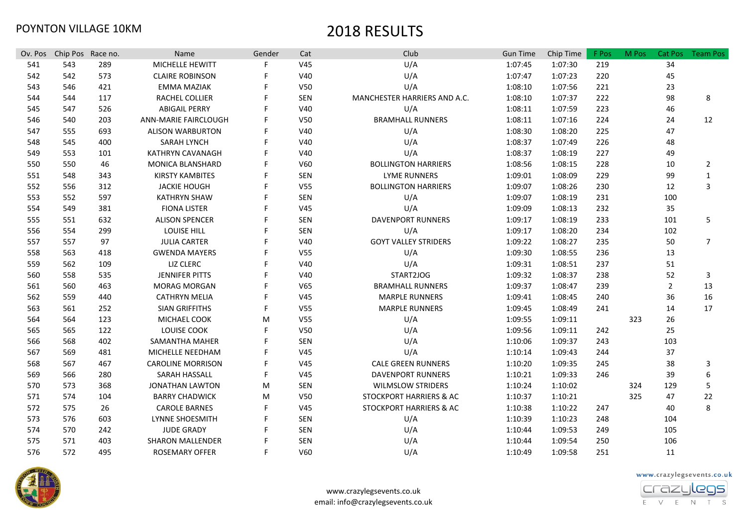| Ov. Pos | Chip Pos Race no. |     | Name                     | Gender | Cat             | Club                         | <b>Gun Time</b> | Chip Time | F Pos | M Pos | Cat Pos        | <b>Team Pos</b> |
|---------|-------------------|-----|--------------------------|--------|-----------------|------------------------------|-----------------|-----------|-------|-------|----------------|-----------------|
| 541     | 543               | 289 | MICHELLE HEWITT          | F      | V45             | U/A                          | 1:07:45         | 1:07:30   | 219   |       | 34             |                 |
| 542     | 542               | 573 | <b>CLAIRE ROBINSON</b>   |        | V40             | U/A                          | 1:07:47         | 1:07:23   | 220   |       | 45             |                 |
| 543     | 546               | 421 | <b>EMMA MAZIAK</b>       |        | V50             | U/A                          | 1:08:10         | 1:07:56   | 221   |       | 23             |                 |
| 544     | 544               | 117 | <b>RACHEL COLLIER</b>    |        | <b>SEN</b>      | MANCHESTER HARRIERS AND A.C. | 1:08:10         | 1:07:37   | 222   |       | 98             | 8               |
| 545     | 547               | 526 | <b>ABIGAIL PERRY</b>     |        | V40             | U/A                          | 1:08:11         | 1:07:59   | 223   |       | 46             |                 |
| 546     | 540               | 203 | ANN-MARIE FAIRCLOUGH     |        | V <sub>50</sub> | <b>BRAMHALL RUNNERS</b>      | 1:08:11         | 1:07:16   | 224   |       | 24             | 12              |
| 547     | 555               | 693 | <b>ALISON WARBURTON</b>  |        | V40             | U/A                          | 1:08:30         | 1:08:20   | 225   |       | 47             |                 |
| 548     | 545               | 400 | <b>SARAH LYNCH</b>       |        | V40             | U/A                          | 1:08:37         | 1:07:49   | 226   |       | 48             |                 |
| 549     | 553               | 101 | KATHRYN CAVANAGH         |        | V40             | U/A                          | 1:08:37         | 1:08:19   | 227   |       | 49             |                 |
| 550     | 550               | 46  | MONICA BLANSHARD         |        | V60             | <b>BOLLINGTON HARRIERS</b>   | 1:08:56         | 1:08:15   | 228   |       | 10             | $\overline{2}$  |
| 551     | 548               | 343 | <b>KIRSTY KAMBITES</b>   |        | SEN             | <b>LYME RUNNERS</b>          | 1:09:01         | 1:08:09   | 229   |       | 99             | 1               |
| 552     | 556               | 312 | <b>JACKIE HOUGH</b>      |        | V <sub>55</sub> | <b>BOLLINGTON HARRIERS</b>   | 1:09:07         | 1:08:26   | 230   |       | 12             | 3               |
| 553     | 552               | 597 | <b>KATHRYN SHAW</b>      |        | SEN             | U/A                          | 1:09:07         | 1:08:19   | 231   |       | 100            |                 |
| 554     | 549               | 381 | <b>FIONA LISTER</b>      |        | V <sub>45</sub> | U/A                          | 1:09:09         | 1:08:13   | 232   |       | 35             |                 |
| 555     | 551               | 632 | <b>ALISON SPENCER</b>    |        | SEN             | <b>DAVENPORT RUNNERS</b>     | 1:09:17         | 1:08:19   | 233   |       | 101            | 5               |
| 556     | 554               | 299 | <b>LOUISE HILL</b>       |        | <b>SEN</b>      | U/A                          | 1:09:17         | 1:08:20   | 234   |       | 102            |                 |
| 557     | 557               | 97  | <b>JULIA CARTER</b>      |        | V40             | <b>GOYT VALLEY STRIDERS</b>  | 1:09:22         | 1:08:27   | 235   |       | 50             | $\overline{7}$  |
| 558     | 563               | 418 | <b>GWENDA MAYERS</b>     |        | V <sub>55</sub> | U/A                          | 1:09:30         | 1:08:55   | 236   |       | 13             |                 |
| 559     | 562               | 109 | <b>LIZ CLERC</b>         |        | V40             | U/A                          | 1:09:31         | 1:08:51   | 237   |       | 51             |                 |
| 560     | 558               | 535 | <b>JENNIFER PITTS</b>    |        | V40             | START2JOG                    | 1:09:32         | 1:08:37   | 238   |       | 52             | 3               |
| 561     | 560               | 463 | <b>MORAG MORGAN</b>      |        | V65             | <b>BRAMHALL RUNNERS</b>      | 1:09:37         | 1:08:47   | 239   |       | $\overline{2}$ | 13              |
| 562     | 559               | 440 | <b>CATHRYN MELIA</b>     |        | V <sub>45</sub> | <b>MARPLE RUNNERS</b>        | 1:09:41         | 1:08:45   | 240   |       | 36             | 16              |
| 563     | 561               | 252 | <b>SIAN GRIFFITHS</b>    | F      | V <sub>55</sub> | <b>MARPLE RUNNERS</b>        | 1:09:45         | 1:08:49   | 241   |       | 14             | 17              |
| 564     | 564               | 123 | MICHAEL COOK             | м      | V <sub>55</sub> | U/A                          | 1:09:55         | 1:09:11   |       | 323   | 26             |                 |
| 565     | 565               | 122 | LOUISE COOK              | F      | V50             | U/A                          | 1:09:56         | 1:09:11   | 242   |       | 25             |                 |
| 566     | 568               | 402 | SAMANTHA MAHER           | F      | SEN             | U/A                          | 1:10:06         | 1:09:37   | 243   |       | 103            |                 |
| 567     | 569               | 481 | MICHELLE NEEDHAM         | F      | V <sub>45</sub> | U/A                          | 1:10:14         | 1:09:43   | 244   |       | 37             |                 |
| 568     | 567               | 467 | <b>CAROLINE MORRISON</b> | F      | V <sub>45</sub> | <b>CALE GREEN RUNNERS</b>    | 1:10:20         | 1:09:35   | 245   |       | 38             | 3               |
| 569     | 566               | 280 | SARAH HASSALL            | F      | V <sub>45</sub> | <b>DAVENPORT RUNNERS</b>     | 1:10:21         | 1:09:33   | 246   |       | 39             | 6               |
| 570     | 573               | 368 | <b>JONATHAN LAWTON</b>   | M      | SEN             | <b>WILMSLOW STRIDERS</b>     | 1:10:24         | 1:10:02   |       | 324   | 129            | 5               |
| 571     | 574               | 104 | <b>BARRY CHADWICK</b>    | M      | V <sub>50</sub> | STOCKPORT HARRIERS & AC      | 1:10:37         | 1:10:21   |       | 325   | 47             | 22              |
| 572     | 575               | 26  | <b>CAROLE BARNES</b>     | F      | V <sub>45</sub> | STOCKPORT HARRIERS & AC      | 1:10:38         | 1:10:22   | 247   |       | 40             | 8               |
| 573     | 576               | 603 | LYNNE SHOESMITH          | F      | SEN             | U/A                          | 1:10:39         | 1:10:23   | 248   |       | 104            |                 |
| 574     | 570               | 242 | <b>JUDE GRADY</b>        |        | SEN             | U/A                          | 1:10:44         | 1:09:53   | 249   |       | 105            |                 |
| 575     | 571               | 403 | <b>SHARON MALLENDER</b>  |        | SEN             | U/A                          | 1:10:44         | 1:09:54   | 250   |       | 106            |                 |
| 576     | 572               | 495 | <b>ROSEMARY OFFER</b>    | F.     | V60             | U/A                          | 1:10:49         | 1:09:58   | 251   |       | 11             |                 |



www.crazylegsevents.co.uk

E V E N T S

crazu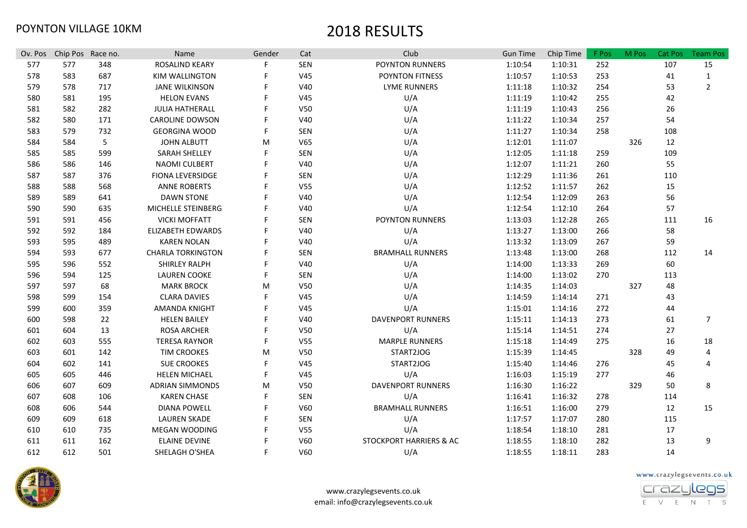| Ov. Pos | Chip Pos Race no. |     | Name                     | Gender | Cat             | Club                     | <b>Gun Time</b> | Chip Time | F Pos | M Pos | Cat Pos | <b>Team Pos</b> |
|---------|-------------------|-----|--------------------------|--------|-----------------|--------------------------|-----------------|-----------|-------|-------|---------|-----------------|
| 577     | 577               | 348 | <b>ROSALIND KEARY</b>    | F      | <b>SEN</b>      | POYNTON RUNNERS          | 1:10:54         | 1:10:31   | 252   |       | 107     | 15              |
| 578     | 583               | 687 | <b>KIM WALLINGTON</b>    |        | V45             | POYNTON FITNESS          | 1:10:57         | 1:10:53   | 253   |       | 41      | $\mathbf{1}$    |
| 579     | 578               | 717 | <b>JANE WILKINSON</b>    |        | V40             | <b>LYME RUNNERS</b>      | 1:11:18         | 1:10:32   | 254   |       | 53      | $\overline{2}$  |
| 580     | 581               | 195 | <b>HELON EVANS</b>       |        | V45             | U/A                      | 1:11:19         | 1:10:42   | 255   |       | 42      |                 |
| 581     | 582               | 282 | <b>JULIA HATHERALL</b>   |        | V50             | U/A                      | 1:11:19         | 1:10:43   | 256   |       | 26      |                 |
| 582     | 580               | 171 | CAROLINE DOWSON          |        | V40             | U/A                      | 1:11:22         | 1:10:34   | 257   |       | 54      |                 |
| 583     | 579               | 732 | <b>GEORGINA WOOD</b>     | F      | SEN             | U/A                      | 1:11:27         | 1:10:34   | 258   |       | 108     |                 |
| 584     | 584               | 5   | <b>JOHN ALBUTT</b>       | M      | V65             | U/A                      | 1:12:01         | 1:11:07   |       | 326   | 12      |                 |
| 585     | 585               | 599 | <b>SARAH SHELLEY</b>     | F      | <b>SEN</b>      | U/A                      | 1:12:05         | 1:11:18   | 259   |       | 109     |                 |
| 586     | 586               | 146 | <b>NAOMI CULBERT</b>     |        | V40             | U/A                      | 1:12:07         | 1:11:21   | 260   |       | 55      |                 |
| 587     | 587               | 376 | <b>FIONA LEVERSIDGE</b>  |        | SEN             | U/A                      | 1:12:29         | 1:11:36   | 261   |       | 110     |                 |
| 588     | 588               | 568 | <b>ANNE ROBERTS</b>      |        | V <sub>55</sub> | U/A                      | 1:12:52         | 1:11:57   | 262   |       | 15      |                 |
| 589     | 589               | 641 | <b>DAWN STONE</b>        |        | V40             | U/A                      | 1:12:54         | 1:12:09   | 263   |       | 56      |                 |
| 590     | 590               | 635 | MICHELLE STEINBERG       |        | V40             | U/A                      | 1:12:54         | 1:12:10   | 264   |       | 57      |                 |
| 591     | 591               | 456 | <b>VICKI MOFFATT</b>     |        | SEN             | POYNTON RUNNERS          | 1:13:03         | 1:12:28   | 265   |       | 111     | 16              |
| 592     | 592               | 184 | <b>ELIZABETH EDWARDS</b> |        | V40             | U/A                      | 1:13:27         | 1:13:00   | 266   |       | 58      |                 |
| 593     | 595               | 489 | <b>KAREN NOLAN</b>       |        | V40             | U/A                      | 1:13:32         | 1:13:09   | 267   |       | 59      |                 |
| 594     | 593               | 677 | <b>CHARLA TORKINGTON</b> |        | SEN             | <b>BRAMHALL RUNNERS</b>  | 1:13:48         | 1:13:00   | 268   |       | 112     | 14              |
| 595     | 596               | 552 | SHIRLEY RALPH            |        | V40             | U/A                      | 1:14:00         | 1:13:33   | 269   |       | 60      |                 |
| 596     | 594               | 125 | <b>LAUREN COOKE</b>      | F      | SEN             | U/A                      | 1:14:00         | 1:13:02   | 270   |       | 113     |                 |
| 597     | 597               | 68  | <b>MARK BROCK</b>        | M      | V50             | U/A                      | 1:14:35         | 1:14:03   |       | 327   | 48      |                 |
| 598     | 599               | 154 | <b>CLARA DAVIES</b>      |        | V45             | U/A                      | 1:14:59         | 1:14:14   | 271   |       | 43      |                 |
| 599     | 600               | 359 | AMANDA KNIGHT            |        | V45             | U/A                      | 1:15:01         | 1:14:16   | 272   |       | 44      |                 |
| 600     | 598               | 22  | <b>HELEN BAILEY</b>      |        | V40             | <b>DAVENPORT RUNNERS</b> | 1:15:11         | 1:14:13   | 273   |       | 61      | $\overline{7}$  |
| 601     | 604               | 13  | <b>ROSA ARCHER</b>       |        | V50             | U/A                      | 1:15:14         | 1:14:51   | 274   |       | 27      |                 |
| 602     | 603               | 555 | <b>TERESA RAYNOR</b>     | F      | V <sub>55</sub> | <b>MARPLE RUNNERS</b>    | 1:15:18         | 1:14:49   | 275   |       | 16      | 18              |
| 603     | 601               | 142 | TIM CROOKES              | M      | V <sub>50</sub> | START2JOG                | 1:15:39         | 1:14:45   |       | 328   | 49      | 4               |
| 604     | 602               | 141 | <b>SUE CROOKES</b>       | F      | V45             | START2JOG                | 1:15:40         | 1:14:46   | 276   |       | 45      | $\overline{4}$  |
| 605     | 605               | 446 | <b>HELEN MICHAEL</b>     | F      | V45             | U/A                      | 1:16:03         | 1:15:19   | 277   |       | 46      |                 |
| 606     | 607               | 609 | <b>ADRIAN SIMMONDS</b>   | M      | V <sub>50</sub> | <b>DAVENPORT RUNNERS</b> | 1:16:30         | 1:16:22   |       | 329   | 50      | 8               |
| 607     | 608               | 106 | <b>KAREN CHASE</b>       | F      | <b>SEN</b>      | U/A                      | 1:16:41         | 1:16:32   | 278   |       | 114     |                 |
| 608     | 606               | 544 | <b>DIANA POWELL</b>      |        | V60             | <b>BRAMHALL RUNNERS</b>  | 1:16:51         | 1:16:00   | 279   |       | 12      | 15              |
| 609     | 609               | 618 | <b>LAUREN SKADE</b>      |        | SEN             | U/A                      | 1:17:57         | 1:17:07   | 280   |       | 115     |                 |
| 610     | 610               | 735 | <b>MEGAN WOODING</b>     | F      | V <sub>55</sub> | U/A                      | 1:18:54         | 1:18:10   | 281   |       | 17      |                 |
| 611     | 611               | 162 | <b>ELAINE DEVINE</b>     | F      | V60             | STOCKPORT HARRIERS & AC  | 1:18:55         | 1:18:10   | 282   |       | 13      | 9               |
| 612     | 612               | 501 | SHELAGH O'SHEA           | F      | V60             | U/A                      | 1:18:55         | 1:18:11   | 283   |       | 14      |                 |



www.crazylegsevents.co.uk email: info@crazylegsevents.co.uk www.crazylegsevents.co.uk

E V E N T S

crazu